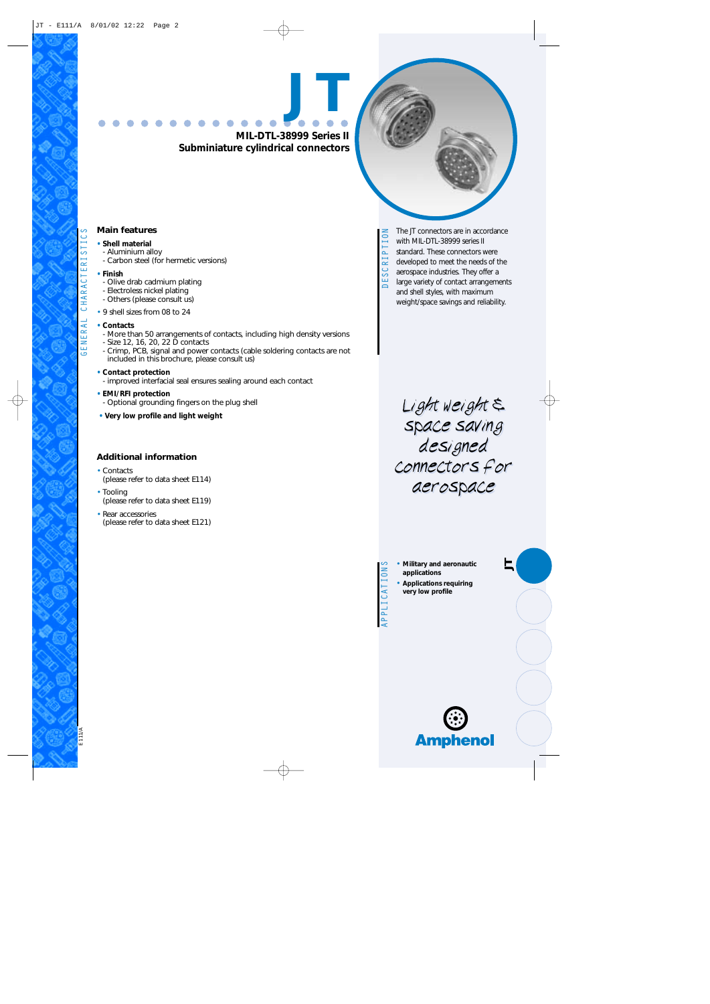**MIL-DTL-38999 Series II Subminiature cylindrical connectors**

**JT**

#### **Main features**

- **Shell material** - Aluminium alloy
	- Carbon steel (for hermetic versions)
- **Finish**
- Olive drab cadmium plating
- Electroless nickel plating
- Others (please consult us)
- 9 shell sizes from 08 to 24

#### **• Contacts**

- More than 50 arrangements of contacts, including high density versions
- Size 12, 16, 20, 22 D contacts
- Crimp, PCB, signal and power contacts (cable soldering contacts are not included in this brochure, please consult us)
- **Contact protection**
- improved interfacial seal ensures sealing around each contact
- **EMI/RFI protection**
- Optional grounding fingers on the plug shell
- **Very low profile and light weight**

#### **Additional information**

- Contacts
- (please refer to data sheet E114)
- Tooling (please refer to data sheet E119)
- Rear accessories (please refer to data sheet E121)

The JT connectors are in accordance DESCRIPTION with MIL-DTL-38999 series II standard. These connectors were JESCRI developed to meet the needs of the aerospace industries. They offer a large variety of contact arrangements and shell styles, with maximum weight/space savings and reliability.

> Light weight  $\xi$ space saving designed connectors for aerospace aerospace space saving designed connectors for

• **Military and aeronautic applications**

*JT*

• **Applications requiring very low profile**

APPLICATIONS

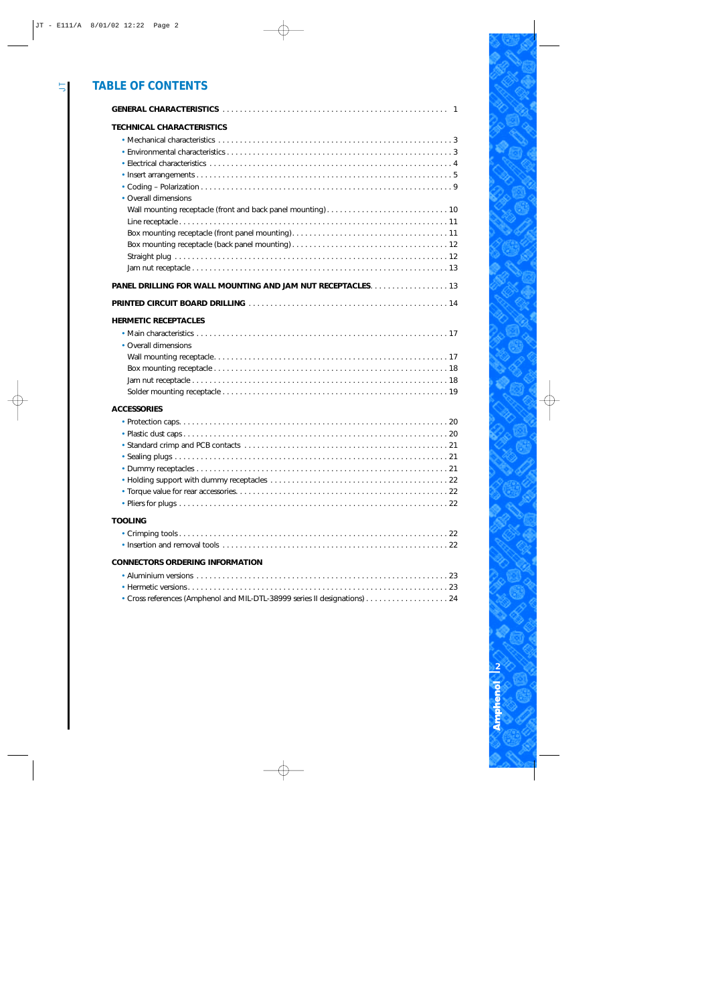#### *TABLE OF CONTENTS*

| <b>TECHNICAL CHARACTERISTICS</b>                                        |
|-------------------------------------------------------------------------|
| • Overall dimensions                                                    |
|                                                                         |
|                                                                         |
|                                                                         |
| <b>HERMETIC RECEPTACLES</b><br>• Overall dimensions                     |
|                                                                         |
| <b>ACCESSORIES</b>                                                      |
|                                                                         |
| <b>TOOLING</b>                                                          |
|                                                                         |
| <b>CONNECTORS ORDERING INFORMATION</b>                                  |
| Cross references (Amphenol and MIL-DTL-38999 series II designations) 24 |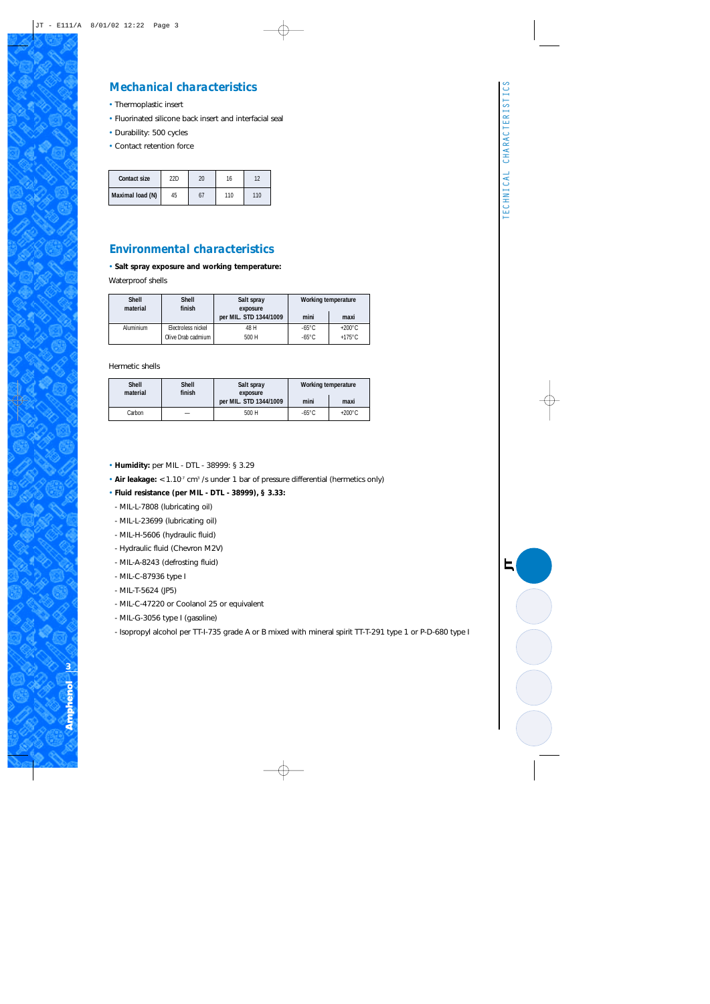#### *Mechanical characteristics*

- Thermoplastic insert
- Fluorinated silicone back insert and interfacial seal
- Durability: 500 cycles
- Contact retention force

| Contact size     | 22D | 20 | 16  |     |
|------------------|-----|----|-----|-----|
| Maximal load (N) | 45  |    | 110 | 110 |

#### *Environmental characteristics*

• **Salt spray exposure and working temperature:** 

Waterproof shells

| Shell<br>material | <b>Shell</b><br>finish | Salt spray<br>exposure<br>per MIL. STD 1344/1009 | Working temperature<br>mini<br>maxi |                  |
|-------------------|------------------------|--------------------------------------------------|-------------------------------------|------------------|
| Aluminium         | Electroless nickel     | 48 H                                             | $-65^{\circ}$ C                     | $+200^{\circ}$ C |
|                   | Olive Drab cadmium     | 500 H                                            | $-65^{\circ}$ C                     | $+175^{\circ}$ C |

Hermetic shells

| <b>Shell</b><br>material | <b>Shell</b><br>finish | Salt spray<br>exposure<br>per MIL. STD 1344/1009 | Working temperature<br>mini | maxi             |
|--------------------------|------------------------|--------------------------------------------------|-----------------------------|------------------|
| Carbon                   |                        | 500H                                             | $-65^{\circ}$ C             | $+200^{\circ}$ C |

- **Humidity:** per MIL DTL 38999: § 3.29
- Air leakage: < 1.10<sup>-7</sup> cm<sup>3</sup> /s under 1 bar of pressure differential (hermetics only)
- **Fluid resistance (per MIL DTL 38999), § 3.33:**
- MIL-L-7808 (lubricating oil)
- MIL-L-23699 (lubricating oil)
- MIL-H-5606 (hydraulic fluid)
- Hydraulic fluid (Chevron M2V)
- MIL-A-8243 (defrosting fluid)
- MIL-C-87936 type I
- MIL-T-5624 (JP5)
- MIL-C-47220 or Coolanol 25 or equivalent
- MIL-G-3056 type I (gasoline)
- Isopropyl alcohol per TT-I-735 grade A or B mixed with mineral spirit TT-T-291 type 1 or P-D-680 type I

*JT*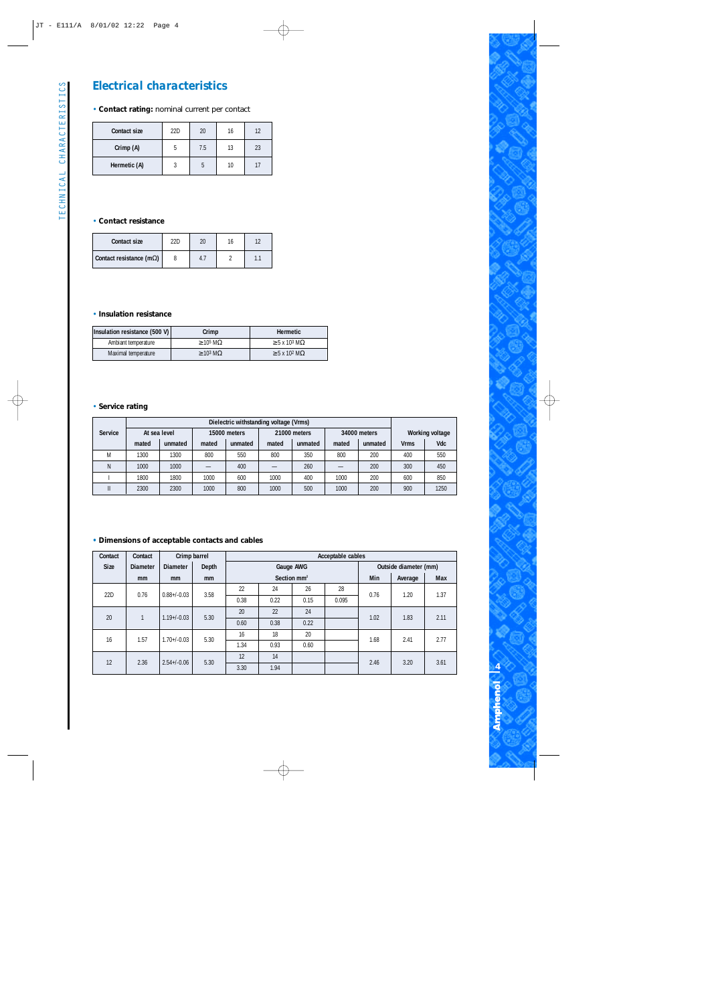# TECHNICAL CHARACTERISTICS TECHNICAL CHARACTERISTICS

#### *Electrical characteristics*

#### • **Contact rating:** nominal current per contact

| <b>Contact size</b> | 22D | 20  | 16 | 12 |
|---------------------|-----|-----|----|----|
| Crimp (A)           |     | 7.5 | 13 | 23 |
| Hermetic (A)        |     |     | 10 | 17 |

#### • **Contact resistance**

| Contact size                     | ววก | 20 |  |
|----------------------------------|-----|----|--|
| Contact resistance (m $\Omega$ ) |     |    |  |

#### • **Insulation resistance**

| Insulation resistance (500 V) | Crimp                  | <b>Hermetic</b>                       |
|-------------------------------|------------------------|---------------------------------------|
| Ambiant temperature           | $\geq 10^5$ M $\Omega$ | $\geq$ 5 x 10 <sup>3</sup> M $\Omega$ |
| Maximal temperature           | $\geq 10^3$ M $\Omega$ | $\geq$ 5 x 10 <sup>2</sup> M $\Omega$ |

#### • **Service rating**

|                | Dielectric withstanding voltage (Vrms) |              |       |              |       |              |       |              |             |                        |
|----------------|----------------------------------------|--------------|-------|--------------|-------|--------------|-------|--------------|-------------|------------------------|
| <b>Service</b> |                                        | At sea level |       | 15000 meters |       | 21000 meters |       | 34000 meters |             | <b>Working voltage</b> |
|                | mated                                  | unmated      | mated | unmated      | mated | unmated      | mated | unmated      | <b>Vrms</b> | Vdc                    |
| M              | 1300                                   | 1300         | 800   | 550          | 800   | 350          | 800   | 200          | 400         | 550                    |
| Ν              | 1000                                   | 1000         |       | 400          |       | 260          |       | 200          | 300         | 450                    |
|                | 1800                                   | 1800         | 1000  | 600          | 1000  | 400          | 1000  | 200          | 600         | 850                    |
| Ш              | 2300                                   | 2300         | 1000  | 800          | 1000  | 500          | 1000  | 200          | 900         | 1250                   |

#### **• Dimensions of acceptable contacts and cables**

| Contact     | Contact          |                  | Acceptable cables<br>Crimp barrel |      |               |           |      |      |                       |      |       |      |      |      |
|-------------|------------------|------------------|-----------------------------------|------|---------------|-----------|------|------|-----------------------|------|-------|------|------|------|
| <b>Size</b> | <b>Diameter</b>  | <b>Diameter</b>  | Depth                             |      |               | Gauge AWG |      |      | Outside diameter (mm) |      |       |      |      |      |
|             | mm               | <sub>mm</sub>    | <sub>mm</sub>                     |      | Section $mm2$ |           |      | Min  | Average               | Max  |       |      |      |      |
|             |                  |                  | 3.58                              | 22   | 24            | 26        | 28   |      |                       |      |       |      |      |      |
| 22D         | 0.76             | $0.88 + / -0.03$ |                                   |      |               |           |      | 0.38 | 0.22                  | 0.15 | 0.095 | 0.76 | 1.20 | 1.37 |
| 20          | 1                |                  | 5.30                              | 20   | 22            | 24        |      | 1.02 | 1.83                  | 2.11 |       |      |      |      |
|             | $1.19 + / -0.03$ |                  |                                   | 0.60 | 0.38          | 0.22      |      |      |                       |      |       |      |      |      |
| 16          | 1.57             | $1.70 + / -0.03$ |                                   | 16   | 18            | 20        |      | 1.68 | 2.41                  |      |       |      |      |      |
|             |                  |                  | 5.30                              | 1.34 | 0.93          | 0.60      |      |      |                       | 2.77 |       |      |      |      |
| 12<br>2.36  | $2.54 + / -0.06$ | 5.30             | 12                                | 14   |               |           | 2.46 | 3.20 | 3.61                  |      |       |      |      |      |
|             |                  |                  | 3.30                              | 1.94 |               |           |      |      |                       |      |       |      |      |      |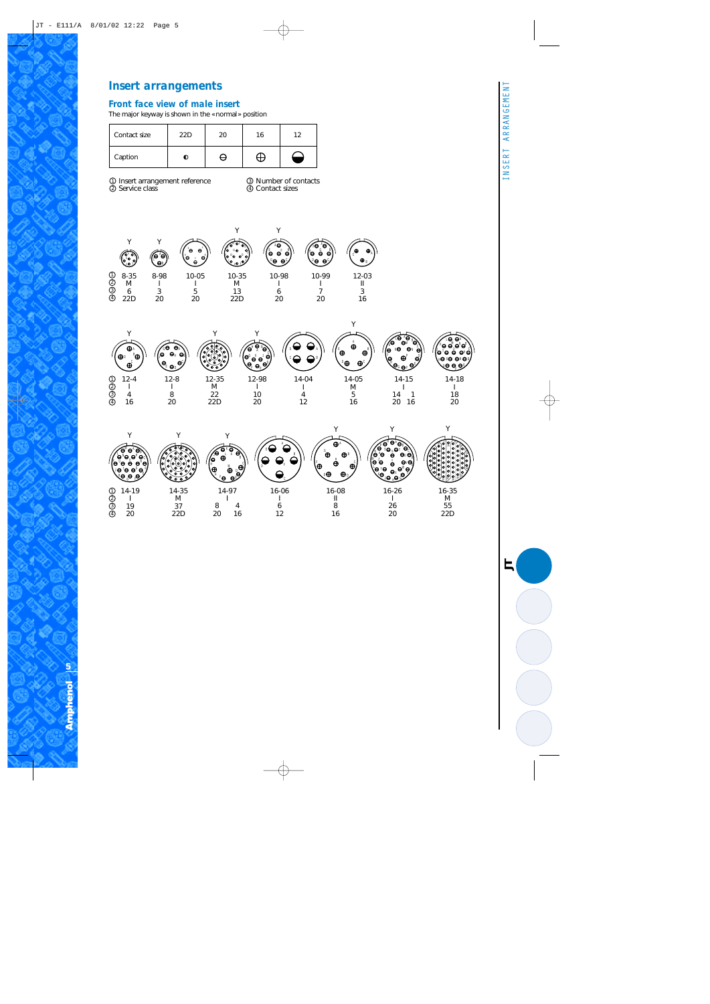#### *Front face view of male insert*

The major keyway is shown in the «normal» position

| Contact size | 22D | 20 | 16 | າາ |
|--------------|-----|----|----|----|
| Caption      |     |    |    |    |

Insert arrangement reference Service class 1 2

Y

 $\Theta$ B  $\mathbf{\Theta}^{\mathrm{C}}$  $\bigoplus$ 

> 12-4 I 4 16

Number of contacts Contact sizes 3 4

Y

*JT*



12-8 I 8 20

A  $\Theta$  $\mathbf{e}_{\text{\tiny E}}$  er e, G  $\Theta$ 

Y

12-35 M 22 22D

 $\overline{a}$ 



14-04 I 4 12

C D

Y

 $\overline{\mathsf{e}_{\scriptscriptstyle{\mathrm{B}}}}$ ě ု႕ေ لے کے دا 6

12-98 I 10 20

A



12-03 II 3 16

 $\ddot{\mathbf{e}}$  $\ddot{\boldsymbol{\theta}}$ 

A





**Amphenol** | or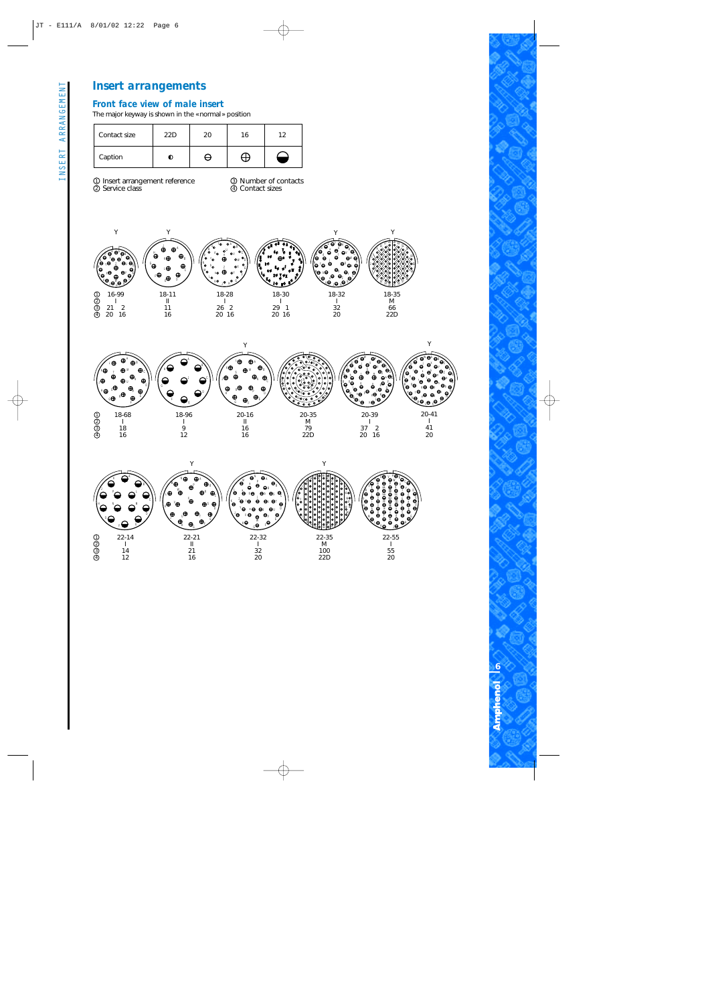#### *Front face view of male insert*

The major keyway is shown in the «normal» position

| Contact size | 22D | 16 |  |
|--------------|-----|----|--|
| Caption      |     |    |  |

Insert arrangement reference Service class 1 2

Number of contacts Contact sizes 3 4







INSERT ARRANGEMENT

INSERT ARRANGEMENT

**6** Ampheno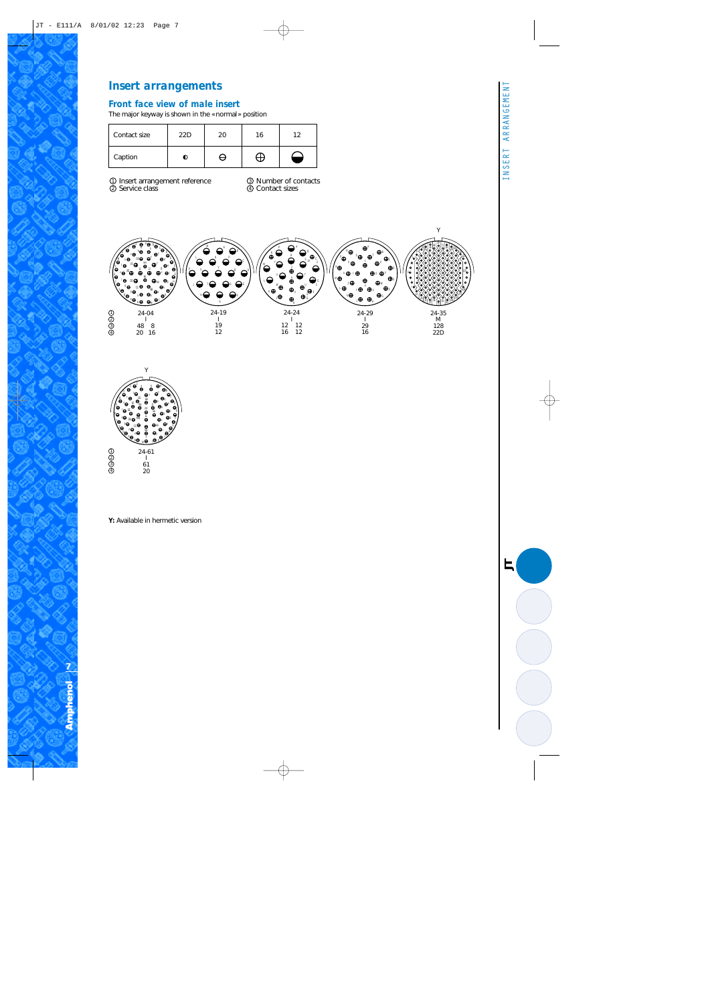#### *Front face view of male insert*

The major keyway is shown in the «normal» position

| Contact size | 22D | 20. | 16 | 1 2 |
|--------------|-----|-----|----|-----|
| Caption      |     |     |    |     |

Insert arrangement reference Service class 1 2

Number of contacts Contact sizes 3 4





**Y:** Available in hermetic version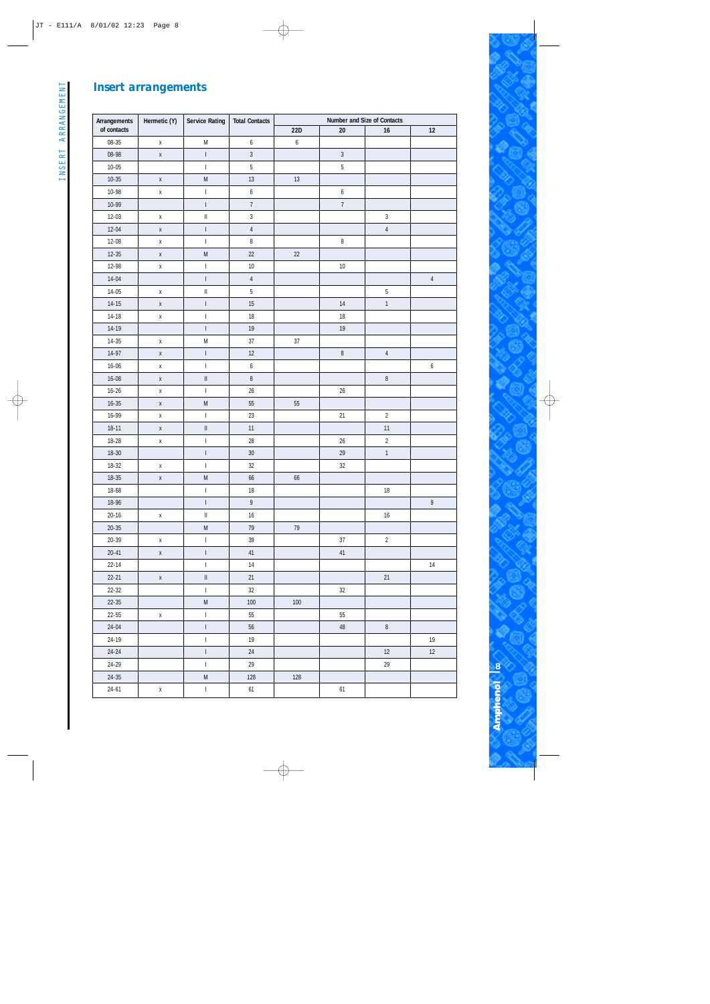| Arrangements | Hermetic (Y) | <b>Service Rating</b>                                                                 | <b>Total Contacts</b> |                  |                |                |                  |
|--------------|--------------|---------------------------------------------------------------------------------------|-----------------------|------------------|----------------|----------------|------------------|
| of contacts  |              |                                                                                       |                       | 22D              | $20\,$         | 16             | 12               |
| $08 - 35$    | $\mathsf X$  | ${\sf M}$                                                                             | $\boldsymbol{6}$      | $\boldsymbol{6}$ |                |                |                  |
| 08-98        | $\mathsf X$  | $\vert$                                                                               | $\mathfrak{Z}$        |                  | $\overline{3}$ |                |                  |
| $10 - 05$    |              | $\begin{array}{c} \begin{array}{c} \hline \end{array} \end{array}$                    | $\overline{5}$        |                  | $\overline{5}$ |                |                  |
| $10 - 35$    | $\mathsf X$  | $\mathsf{M}% _{T}=\mathsf{M}_{T}\!\left( a,b\right) ,\ \mathsf{M}_{T}=\mathsf{M}_{T}$ | $13$                  | 13               |                |                |                  |
| 10-98        | $\mathsf X$  | $\mathsf I$                                                                           | $\boldsymbol{6}$      |                  | 6              |                |                  |
| 10-99        |              | $\begin{array}{c} \hline \end{array}$                                                 | $\boldsymbol{7}$      |                  | $\overline{7}$ |                |                  |
| $12 - 03$    | $\mathsf X$  | $\vert\vert$                                                                          | $\overline{3}$        |                  |                | $\sqrt{3}$     |                  |
| $12 - 04$    | $\mathsf X$  | $\vert$                                                                               | $\sqrt{4}$            |                  |                | $\sqrt{4}$     |                  |
| 12-08        | $\mathsf X$  | $\begin{array}{c} \end{array}$                                                        | 8                     |                  | $\, 8$         |                |                  |
| $12 - 35$    | $\mathsf X$  | ${\sf M}$                                                                             | $22\,$                | $22\,$           |                |                |                  |
| 12-98        | $\mathsf X$  | $\begin{array}{c} \end{array}$                                                        | 10                    |                  | $10\,$         |                |                  |
| $14 - 04$    |              | $\vert$                                                                               | $\sqrt{4}$            |                  |                |                | $\overline{4}$   |
| $14 - 05$    | $\mathsf X$  | $\vert\vert$                                                                          | $5\,$                 |                  |                | $\mathsf 5$    |                  |
| $14 - 15$    | $\mathsf X$  | $\vert$                                                                               | 15                    |                  | 14             | $\mathbf{1}$   |                  |
| $14 - 18$    | $\mathsf X$  | $\vert$                                                                               | $18\,$                |                  | $18\,$         |                |                  |
| $14 - 19$    |              | $\begin{array}{c} \end{array}$                                                        | 19                    |                  | $19$           |                |                  |
| $14 - 35$    | $\mathsf X$  | ${\sf M}$                                                                             | $37\,$                | $37\,$           |                |                |                  |
| $14-97$      | $\mathsf X$  | $\vert$                                                                               | $12\,$                |                  | $\, 8$         | $\sqrt{4}$     |                  |
| $16 - 06$    | $\mathsf X$  | $\begin{array}{c} \end{array}$                                                        | $\boldsymbol{6}$      |                  |                |                | $\boldsymbol{6}$ |
| $16 - 08$    | $\mathsf X$  | $\vert\vert$                                                                          | $\, 8$                |                  |                | $\, 8$         |                  |
| $16 - 26$    | $\mathsf X$  | $\begin{array}{c} \end{array}$                                                        | $26\,$                |                  | 26             |                |                  |
| $16 - 35$    | $\mathsf X$  | ${\sf M}$                                                                             | 55                    | 55               |                |                |                  |
| 16-99        | $\mathsf X$  | $\begin{array}{c} \hline \end{array}$                                                 | 23                    |                  | 21             | $\overline{2}$ |                  |
| $18 - 11$    | $\mathsf X$  | $\ensuremath{\mathsf{II}}$                                                            | $11\,$                |                  |                | 11             |                  |
| 18-28        | $\mathsf X$  | $\begin{array}{c} \hline \end{array}$                                                 | $28\,$                |                  | 26             | $\sqrt{2}$     |                  |
| $18 - 30$    |              | $\begin{array}{c} \end{array}$                                                        | $30\,$                |                  | 29             | $\mathbbm{1}$  |                  |
| $18 - 32$    | $\mathsf X$  | $\mathsf I$                                                                           | $32\,$                |                  | $32\,$         |                |                  |
| $18 - 35$    | $\mathsf X$  | ${\sf M}$                                                                             | 66                    | 66               |                |                |                  |
| 18-68        |              | $\vert$                                                                               | 18                    |                  |                | $18$           |                  |
| 18-96        |              | $\mathsf{I}$                                                                          | 9                     |                  |                |                | $\,9$            |
| $20 - 16$    | $\mathsf X$  | $\, \parallel$                                                                        | 16                    |                  |                | 16             |                  |
| $20 - 35$    |              | ${\sf M}$                                                                             | 79                    | 79               |                |                |                  |
| $20 - 39$    | X            | $\mathbf{I}$                                                                          | 39                    |                  | 37             | $\overline{2}$ |                  |
| $20 - 41$    | $\mathsf X$  | $\vert$                                                                               | 41                    |                  | 41             |                |                  |
| $22 - 14$    |              | $\mathbf{I}$                                                                          | 14                    |                  |                |                | 14               |
| $22 - 21$    | $\mathsf X$  | $\ensuremath{\mathsf{II}}$                                                            | 21                    |                  |                | 21             |                  |
| $22 - 32$    |              | $\begin{array}{c} \end{array}$                                                        | $32\,$                |                  | 32             |                |                  |
| $22 - 35$    |              | ${\sf M}$                                                                             | $100\,$               | $100\,$          |                |                |                  |
| 22-55        | $\mathsf X$  | $\mathbf{I}$                                                                          | 55                    |                  | 55             |                |                  |
| $24 - 04$    |              | $\vert$                                                                               | 56                    |                  | $48\,$         | $\, 8$         |                  |
| 24-19        |              | $\overline{1}$                                                                        | 19                    |                  |                |                | 19               |
| $24 - 24$    |              | $\begin{array}{c} \hline \end{array}$                                                 | 24                    |                  |                | 12             | 12               |
| 24-29        |              | $\begin{array}{c} \end{array}$                                                        | 29                    |                  |                | 29             |                  |
| $24 - 35$    |              | ${\sf M}$                                                                             | 128                   | 128              |                |                |                  |
| $24 - 61$    | $\mathsf X$  | $\mathbf{I}$                                                                          | 61                    |                  | 61             |                |                  |

**8 Amphenol**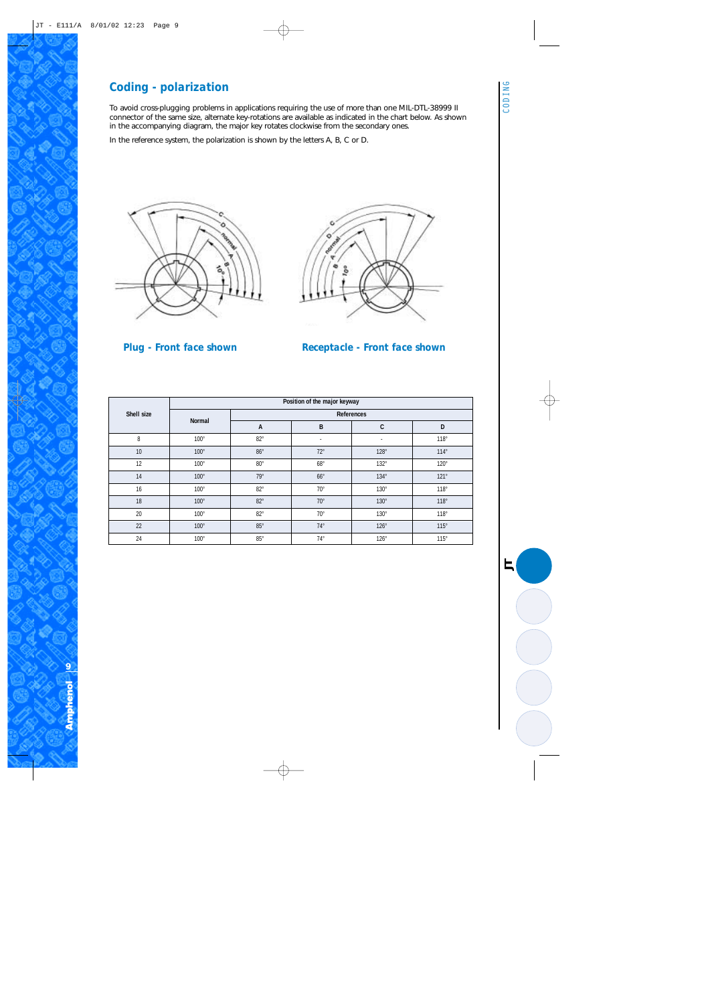#### *Coding - polarization*

To avoid cross-plugging problems in applications requiring the use of more than one MIL-DTL-38999 II connector of the same size, alternate key-rotations are available as indicated in the chart below. As shown in the accompanying diagram, the major key rotates clockwise from the secondary ones.

In the reference system, the polarization is shown by the letters A, B, C or D.





*Plug - Front face shown Receptacle - Front face shown*

|            | Position of the major keyway |              |              |                          |             |  |  |  |  |  |  |  |
|------------|------------------------------|--------------|--------------|--------------------------|-------------|--|--|--|--|--|--|--|
| Shell size |                              |              | References   |                          |             |  |  |  |  |  |  |  |
|            | Normal                       | A            | B            | C                        | D           |  |  |  |  |  |  |  |
| 8          | $100^\circ$                  | $82^\circ$   | $\sim$       | $\overline{\phantom{a}}$ | 118°        |  |  |  |  |  |  |  |
| 10         | $100^\circ$                  | $86^{\circ}$ | $72^{\circ}$ | $128^\circ$              | $114^\circ$ |  |  |  |  |  |  |  |
| 12         | $100^\circ$                  | $80^{\circ}$ | $68^{\circ}$ | $132^\circ$              | $120^\circ$ |  |  |  |  |  |  |  |
| 14         | $100^\circ$                  | $79^\circ$   | $66^{\circ}$ | $134^\circ$              | $121^\circ$ |  |  |  |  |  |  |  |
| 16         | $100^\circ$                  | $82^\circ$   | $70^{\circ}$ | $130^\circ$              | $118^\circ$ |  |  |  |  |  |  |  |
| 18         | $100^\circ$                  | $82^\circ$   | $70^{\circ}$ | $130^\circ$              | $118^\circ$ |  |  |  |  |  |  |  |
| 20         | $100^\circ$                  | $82^\circ$   | $70^{\circ}$ | $130^\circ$              | $118^\circ$ |  |  |  |  |  |  |  |
| 22         | $100^\circ$                  | $85^\circ$   | $74^{\circ}$ | $126^\circ$              | $115^\circ$ |  |  |  |  |  |  |  |
| 24         | $100^\circ$                  | $85^\circ$   | $74^{\circ}$ | $126^\circ$              | $115^\circ$ |  |  |  |  |  |  |  |

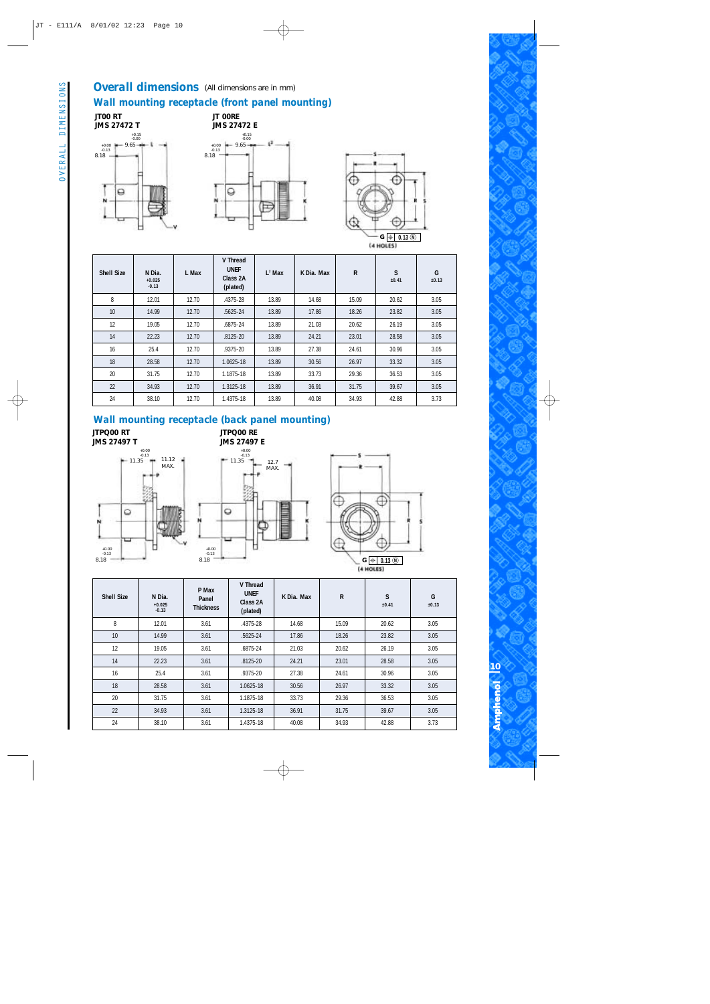#### **Overall dimensions** (All dimensions are in mm) *Wall mounting receptacle (front panel mounting)*

**JT00 RT JMS 27472 T** +0.15 -0.00  $-1$ 9.65 +0.00 -0.13 8.18  $\Theta$ N





| <b>Shell Size</b> | N Dia.<br>$+0.025$<br>$-0.13$ | L Max | V Thread<br><b>UNEF</b><br>Class 2A<br>(plated) | $L^2$ Max                        | K Dia. Max | $\mathsf{R}$ | S<br>±0.41 | G<br>±0.13 |
|-------------------|-------------------------------|-------|-------------------------------------------------|----------------------------------|------------|--------------|------------|------------|
| 8                 | 12.01                         | 12.70 | 13.89<br>14.68<br>.4375-28                      |                                  |            | 15.09        | 20.62      | 3.05       |
| 10                | 14.99                         | 12.70 | $.5625 - 24$                                    | 13.89                            | 17.86      | 18.26        | 23.82      | 3.05       |
| 12                | 19.05                         | 12.70 | .6875-24                                        | 13.89                            | 21.03      | 20.62        | 26.19      | 3.05       |
| 14                | 22.23                         | 12.70 | $.8125 - 20$                                    | 13.89<br>24.21<br>23.01<br>28.58 |            |              | 3.05       |            |
| 16                | 25.4                          | 12.70 | .9375-20                                        | 13.89                            | 27.38      | 24.61        | 30.96      | 3.05       |
| 18                | 28.58                         | 12.70 | 1.0625-18                                       | 13.89                            | 30.56      | 26.97        | 33.32      | 3.05       |
| 20                | 31.75                         | 12.70 | 1.1875-18                                       | 13.89                            | 33.73      | 29.36        | 36.53      | 3.05       |
| 22                | 34.93                         | 12.70 | 1.3125-18                                       | 13.89                            | 36.91      | 31.75        | 39.67      | 3.05       |
| 24                | 38.10                         | 12.70 | 1.4375-18                                       | 13.89                            | 40.08      | 34.93        | 42.88      | 3.73       |

#### *Wall mounting receptacle (back panel mounting)*

**JTPQ00 RT JMS 27497 T** **JTPQ00 RE JMS 27497 E**







**10**

Ampheno

| <b>Shell Size</b> | N Dia.<br>$+0.025$<br>$-0.13$ | P Max<br>Panel<br><b>Thickness</b> | V Thread<br><b>UNEF</b><br>Class 2A<br>(plated) | K Dia. Max | $\mathsf{R}$ | S<br>±0.41 | G<br>±0.13 |      |
|-------------------|-------------------------------|------------------------------------|-------------------------------------------------|------------|--------------|------------|------------|------|
| 8                 | 12.01                         | 3.61                               | .4375-28                                        | 14.68      | 15.09        | 20.62      | 3.05       |      |
| 10                | 14.99                         | 3.61                               | .5625-24                                        | 17.86      | 18.26        | 23.82      | 3.05       |      |
| 12                | 19.05                         | 3.61                               | .6875-24                                        | 21.03      | 20.62        | 26.19      | 3.05       |      |
| 14                | 22.23                         | 3.61                               | $.8125 - 20$                                    | 24.21      | 23.01        | 28.58      | 3.05       |      |
| 16                | 25.4                          | 3.61                               | .9375-20                                        | 27.38      | 24.61        | 30.96      | 3.05       |      |
| 18                | 28.58                         | 3.61                               | 1.0625-18                                       |            | 30.56        | 26.97      | 33.32      | 3.05 |
| 20                | 31.75                         | 3.61                               | 1.1875-18                                       | 33.73      | 29.36        | 36.53      | 3.05       |      |
| 22                | 34.93                         | 3.61                               | 1.3125-18                                       | 36.91      | 31.75        | 39.67      | 3.05       |      |
| 24                | 38.10                         | 3.61                               | 1.4375-18                                       | 40.08      | 34.93        | 42.88      | 3.73       |      |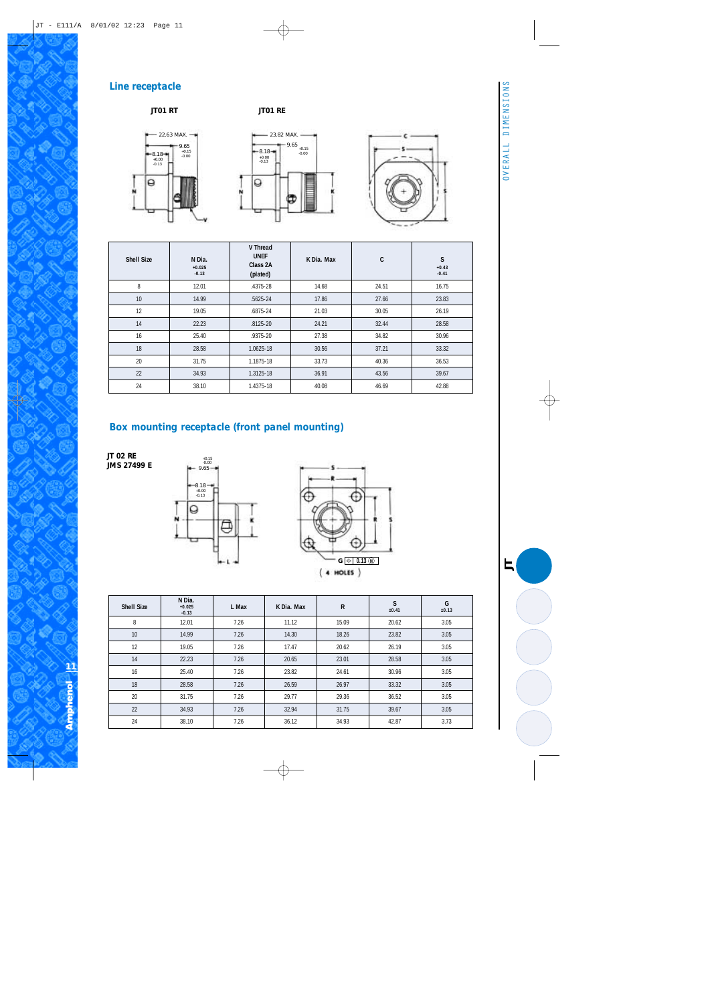*JT*

#### *Line receptacle*

#### **JT01 RT JT01 RE**







| <b>Shell Size</b> | N Dia.<br>$+0.025$<br>$-0.13$ | V Thread<br><b>UNEF</b><br>Class 2A<br>(plated) | K Dia. Max | C     | S<br>$+0.43$<br>$-0.41$ |
|-------------------|-------------------------------|-------------------------------------------------|------------|-------|-------------------------|
| 8                 | 12.01                         | .4375-28                                        | 14.68      | 24.51 | 16.75                   |
| 10                | 14.99                         | .5625-24                                        | 17.86      | 27.66 | 23.83                   |
| 12                | 19.05                         | .6875-24                                        | 21.03      | 30.05 | 26.19                   |
| 14                | 22.23                         | $.8125 - 20$                                    | 24.21      | 32.44 | 28.58                   |
| 16                | 25.40                         | .9375-20                                        | 27.38      | 34.82 | 30.96                   |
| 18                | 28.58                         | 1.0625-18                                       | 30.56      | 37.21 | 33.32                   |
| 20                | 31.75                         | 1.1875-18                                       | 33.73      | 40.36 | 36.53                   |
| 22                | 34.93                         | 1.3125-18                                       | 36.91      | 43.56 | 39.67                   |
| 24                | 38.10                         | 1.4375-18                                       | 40.08      | 46.69 | 42.88                   |

#### *Box mounting receptacle (front panel mounting)*

**JT 02 RE JMS 27499 E**





| <b>Shell Size</b> | N Dia.<br>$+0.025$<br>$-0.13$  | L Max | K Dia. Max | $\mathsf{R}$ | S<br>±0.41 | G<br>±0.13 |
|-------------------|--------------------------------|-------|------------|--------------|------------|------------|
| 8                 | 12.01                          | 7.26  | 11.12      | 15.09        | 20.62      | 3.05       |
| 10                | 14.99                          | 7.26  | 14.30      | 18.26        | 23.82      | 3.05       |
| 12                | 19.05                          | 7.26  | 17.47      | 20.62        | 26.19      | 3.05       |
| 14                | 22.23                          | 7.26  | 20.65      | 23.01        | 28.58      | 3.05       |
| 16                | 25.40<br>7.26<br>7.26<br>28.58 |       | 23.82      | 24.61        | 30.96      | 3.05       |
| 18                |                                |       | 26.59      | 26.97        | 33.32      | 3.05       |
| 20                | 31.75                          | 7.26  | 29.77      | 29.36        | 36.52      | 3.05       |
| 22                | 34.93                          | 7.26  | 32.94      | 31.75        | 39.67      | 3.05       |
| 24                | 38.10                          | 7.26  | 36.12      | 34.93        | 42.87      | 3.73       |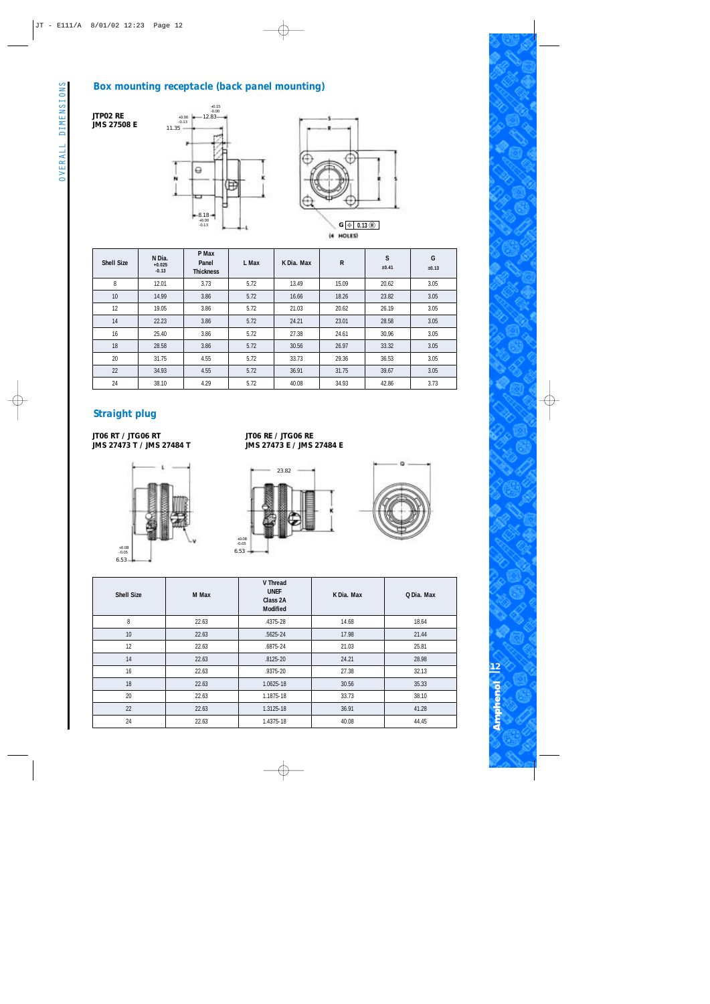#### *Box mounting receptacle (back panel mounting)*



**JTP02 RE JMS 27508 E**



| <b>Shell Size</b> | N Dia.<br>$+0.025$<br>$-0.13$ | P Max<br>Panel<br><b>Thickness</b> | L Max | K Dia, Max | $\mathsf{R}$ | S<br>±0.41 | G<br>±0.13 |
|-------------------|-------------------------------|------------------------------------|-------|------------|--------------|------------|------------|
| 8                 | 12.01                         | 3.73                               | 5.72  | 13.49      | 15.09        | 20.62      | 3.05       |
| 10                | 14.99                         | 3.86                               | 5.72  | 16.66      | 18.26        | 23.82      | 3.05       |
| 12                | 19.05                         | 3.86                               | 5.72  | 21.03      | 20.62        | 26.19      | 3.05       |
| 14                | 22.23                         | 3.86                               | 5.72  | 24.21      | 23.01        | 28.58      | 3.05       |
| 16                | 25.40                         | 3.86                               | 5.72  | 27.38      | 24.61        | 30.96      | 3.05       |
| 18                | 28.58                         | 3.86                               | 5.72  | 30.56      | 26.97        | 33.32      | 3.05       |
| 20                | 31.75                         | 4.55                               | 5.72  | 33.73      | 29.36        | 36.53      | 3.05       |
| 22                | 34.93                         | 4.55                               | 5.72  | 36.91      | 31.75        | 39.67      | 3.05       |
| 24                | 38.10                         | 4.29                               | 5.72  |            | 34.93        | 42.86      | 3.73       |

#### *Straight plug*

**JT06 RT / JTG06 RT JMS 27473 T / JMS 27484 T**



**JT06 RE / JTG06 RE JMS 27473 E / JMS 27484 E**





| <b>Shell Size</b> | M Max | V Thread<br><b>UNEF</b><br>Class 2A<br><b>Modified</b> | K Dia. Max | Q Dia. Max |
|-------------------|-------|--------------------------------------------------------|------------|------------|
| 8                 | 22.63 | .4375-28                                               | 14.68      | 18.64      |
| 10                | 22.63 | $.5625 - 24$                                           | 17.98      | 21.44      |
| 12                | 22.63 | .6875-24                                               | 21.03      | 25.81      |
| 14                | 22.63 | $.8125 - 20$                                           | 24.21      | 28.98      |
| 16                | 22.63 | .9375-20                                               | 27.38      | 32.13      |
| 18                | 22.63 | 1.0625-18                                              | 30.56      | 35.33      |
| 20                | 22.63 | 1.1875-18                                              | 33.73      | 38.10      |
| 22                | 22.63 | 1.3125-18                                              | 36.91      | 41.28      |
| 24                | 22.63 | 1.4375-18                                              | 40.08      | 44.45      |
|                   |       |                                                        |            |            |

**12** Ampheno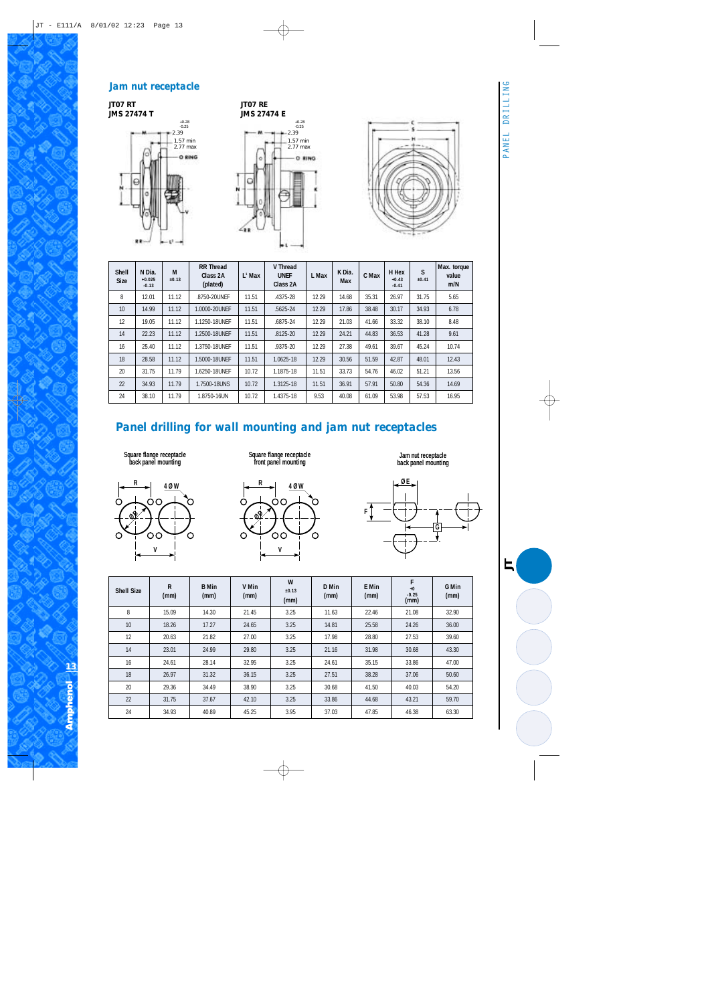#### *Jam nut receptacle*

**JT07 RT JMS 27474 T**







| <b>Shell</b><br><b>Size</b> | N Dia.<br>$+0.025$<br>$-0.13$ | M<br>±0.13 | <b>RR Thread</b><br>Class 2A<br>(plated) | $L^1$ Max | V Thread<br><b>UNEF</b><br>Class 2A | L Max | K Dia.<br>Max | C Max | H Hex<br>$+0.43$<br>$-0.41$ | S<br>±0.41 | Max. torque<br>value<br>m/N |
|-----------------------------|-------------------------------|------------|------------------------------------------|-----------|-------------------------------------|-------|---------------|-------|-----------------------------|------------|-----------------------------|
| 8                           | 12.01                         | 11.12      | .8750-20UNEF                             | 11.51     | .4375-28                            | 12.29 | 14.68         | 35.31 | 26.97                       | 31.75      | 5.65                        |
| 10                          | 14.99                         | 11.12      | 1.0000-20UNFF                            | 11.51     | .5625-24                            | 12.29 | 17.86         | 38.48 | 30.17                       | 34.93      | 6.78                        |
| 12                          | 19.05                         | 11.12      | 1.1250-18UNEF                            | 11.51     | .6875-24                            | 12.29 | 21.03         | 41.66 | 33.32                       | 38.10      | 8.48                        |
| 14                          | 22.23                         | 11.12      | .2500-18UNEF                             | 11.51     | $.8125 - 20$                        | 12.29 | 24.21         | 44.83 | 36.53                       | 41.28      | 9.61                        |
| 16                          | 25.40                         | 11.12      | 1.3750-18UNFF                            | 11.51     | .9375-20                            | 12.29 | 27.38         | 49.61 | 39.67                       | 45.24      | 10.74                       |
| 18                          | 28.58                         | 11.12      | .5000-18UNFF                             | 11.51     | 1.0625-18                           | 12.29 | 30.56         | 51.59 | 42.87                       | 48.01      | 12.43                       |
| 20                          | 31.75                         | 11.79      | .6250-18UNFF                             | 10.72     | 1.1875-18                           | 11.51 | 33.73         | 54.76 | 46.02                       | 51.21      | 13.56                       |
| 22                          | 34.93                         | 11.79      | 1.7500-18UNS                             | 10.72     | 1.3125-18                           | 11.51 | 36.91         | 57.91 | 50.80                       | 54.36      | 14.69                       |
| 24                          | 38.10                         | 11.79      | 1.8750-16UN                              | 10.72     | 1.4375-18                           | 9.53  | 40.08         | 61.09 | 53.98                       | 57.53      | 16.95                       |

## *Panel drilling for wall mounting and jam nut receptacles*

**Square flange receptacle back panel mounting**



**Square flange receptacle front panel mounting**



**Jam nut receptacle back panel mounting**



| <b>Shell Size</b> | $\mathsf{R}$<br>(mm) | <b>B</b> Min<br>(mm) | V Min<br>(mm) | W<br>±0.13<br>(mm) | D Min<br>(mm) | E Min<br>(mm) | F<br>$\bf{+0}$<br>$-0.25$<br>(mm) | G Min<br>(mm) |
|-------------------|----------------------|----------------------|---------------|--------------------|---------------|---------------|-----------------------------------|---------------|
| 8                 | 15.09                | 14.30                | 21.45         | 3.25               | 11.63         | 22.46         | 21.08                             | 32.90         |
| 10                | 18.26                | 17.27                | 24.65         | 3.25               | 14.81         | 25.58         | 24.26                             | 36.00         |
| 12                | 20.63                | 21.82                | 27.00         | 3.25               | 17.98         | 28.80         | 27.53                             | 39.60         |
| 14                | 23.01                | 24.99                | 29.80         | 3.25               | 21.16         | 31.98         | 30.68                             | 43.30         |
| 16                | 24.61                | 28.14                | 32.95         | 3.25               | 24.61         | 35.15         | 33.86                             | 47.00         |
| 18                | 26.97                | 31.32                | 36.15         | 3.25               | 27.51         | 38.28         | 37.06                             | 50.60         |
| 20                | 29.36                | 34.49                | 38.90         | 3.25               | 30.68         | 41.50         | 40.03                             | 54.20         |
| 22                | 31.75                | 37.67                | 42.10         | 3.25               | 33.86         | 44.68         | 43.21                             | 59.70         |
| 24                | 34.93                | 40.89                | 45.25         | 3.95               | 37.03         | 47.85         | 46.38                             | 63.30         |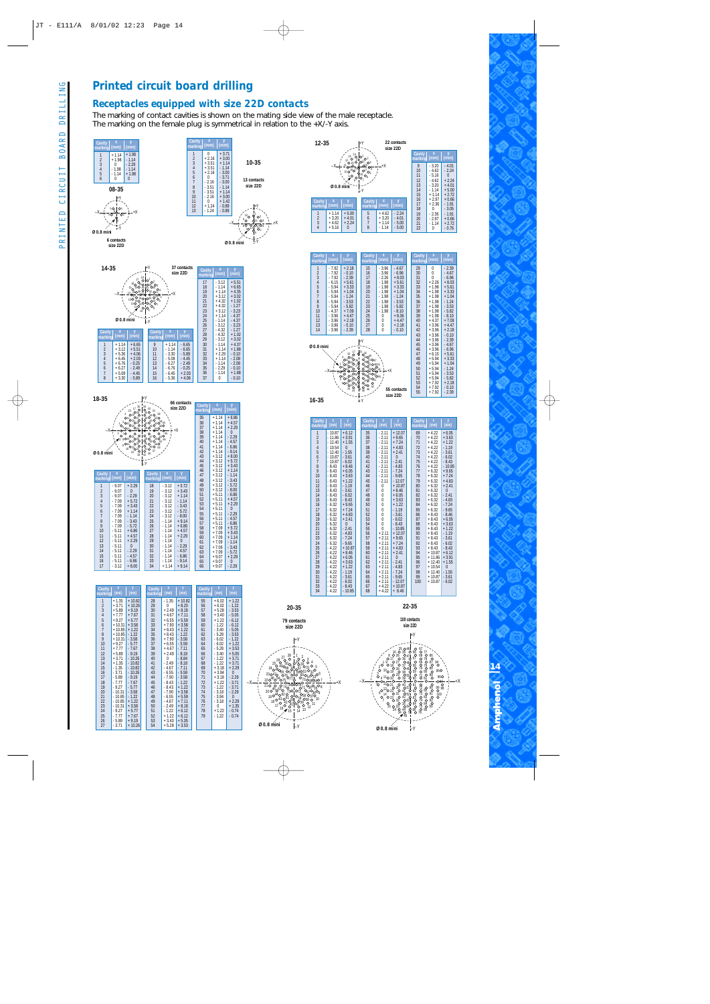#### *Printed circuit board drilling*

#### *Receptacles equipped with size 22D contacts*

The marking of contact cavities is shown on the mating side view of the male receptacle. The marking on the female plug is symmetrical in relation to the +X/-Y axis.

+X

**Ø 0.8 mini**

63 64 ծ5<br>7 66 67 69 70

 $\mathsf{L}_\mathsf{Y}$ 

 $^{17}$  10 0 11 14 15 14 15 14 15 14 15 15

<sup>37</sup> <sup>38</sup> <sup>39</sup> <sup>41</sup> <sup>40</sup> <sup>42</sup> <sup>43</sup>

 $^{210}$   $^{0}_{45}$   $^{0}_{24}$   $^{19010}$   $^{187}_{01}$ 

51 77

28

1<br>20 3 4<br>23 0 4 5  $\rm ^{2}O($ 34O7 8 9 10

33 35 36

28.30 0<br>252 031 32

52 U<br>3053 54 55 56  $\frac{62}{62}$   $\frac{130}{61}$   $\frac{07}{2}$   $\frac{0.5}{38}$   $\frac{0.5}{38}$ 

–Y







+X

**14** Ampheno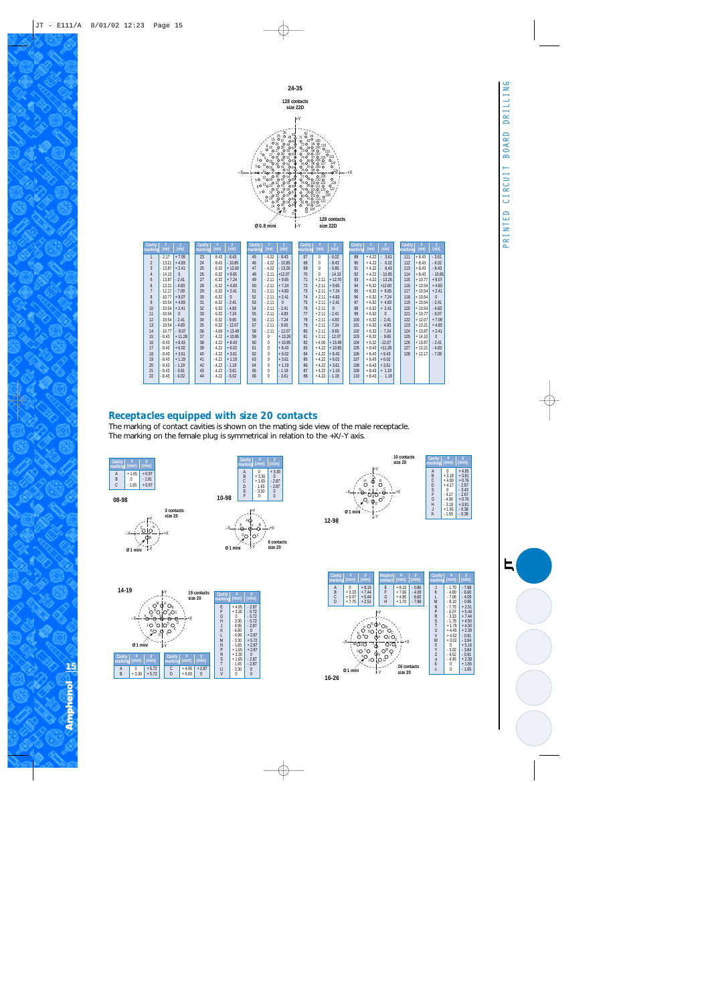

| Cavity<br>marking | (mm)     | (mm)     | Cavity<br>marking | (mm)    | (mm)     | Cavity<br>marking | (mm)     | $(\text{mm})$ | Cavity<br>marking | (mm)     | (mm)     | Cavity<br>marking | (mm)    | y<br>(mm) | Cavity<br>marking | (mm)     | (mm)     |
|-------------------|----------|----------|-------------------|---------|----------|-------------------|----------|---------------|-------------------|----------|----------|-------------------|---------|-----------|-------------------|----------|----------|
| $\mathbf{1}$      | - 2.17   | $+7.09$  | 23                | $-8.43$ | $-8.43$  | 45                | $-4.22$  | $-8.43$       | 67                | $\Omega$ | $-6.02$  | 89                | $+4.22$ | 3.61      | 111               | $+8.43$  | $-3.61$  |
| $\overline{2}$    | $-13.21$ | $+4.83$  | 24                | $-8.43$ | $-10.85$ | 46                | $-4.22$  | $-10.85$      | 68                | $\Omega$ | $-8.43$  | 90                | $+4.22$ | 6.02      | 112               | $+8.43$  | $-6.02$  |
| 3                 | $-13.87$ | $+2.41$  | 25                | $-6.32$ | $+12.60$ | 47                | $-4.22$  | $-13.26$      | 69                | $\Omega$ | $-0.85$  | 91                | $+4.22$ | 8.43      | 113               | $+8.43$  | $-8.43$  |
| $\overline{4}$    | $-14.10$ | $\Omega$ | 26                | $-6.32$ | $+9.65$  | 48                | $-2.11$  | $+12.07$      | 70                | $\Omega$ | $-14.10$ | 92                | $+4.22$ | $-10.85$  | 114               | $+8.43$  | $-10.85$ |
| 5                 | $-13.87$ | $-2.41$  | 27                | $-6.32$ | $+7.24$  | 49                | $-2.11$  | $+9.65$       | 71                | $+2.11$  | $+12.70$ | 93                | $+4.22$ | $-13.26$  | 115               | $+10.77$ | $+9.07$  |
| 6                 | $-13.21$ | $-4.83$  | 28                | $-6.32$ | $+4.83$  | 50                | $-2.11$  | $+7.24$       | 72                | $+2.11$  | $+9.65$  | 94                | $+6.32$ | $+12.60$  | 116               | $+10.54$ | $+4.83$  |
| $\overline{7}$    | $-12.17$ | $-7.09$  | 29                | $-6.32$ | $+2.41$  | 51                | $-2.11$  | $+4.83$       | 73                | $+2.11$  | $+7.24$  | 95                | $+6.32$ | $+9.65$   | 117               | $+10.54$ | $+2.41$  |
| 8                 | $-10.77$ | $+9.07$  | 30                | $-6.32$ | $\Omega$ | 52                | $-2.11$  | $+2.41$       | 74                | $+2.11$  | $+4.83$  | 96                | $+6.32$ | $+7.24$   | 118               | $+10.54$ | $\Omega$ |
| 9                 | $-10.54$ | $+4.83$  | 31                | $-6.32$ | $-2.41$  | 53                | $-2.11$  | $\theta$      | 75                | $+2.11$  | $+2.41$  | 97                | $+6.32$ | $+4.83$   | 119               | $+10.54$ | $-2.41$  |
| 10                | $-10.54$ | $+2.41$  | 32                | $-6.32$ | $-4.83$  | 54                | $-2.11$  | $-2.41$       | 76                | $+2.11$  | $\Omega$ | 98                | $+6.32$ | $+2.41$   | 120               | $+10.54$ | $-4.83$  |
| 11                | $-10.54$ | $\Omega$ | 33                | $-6.32$ | $-7.24$  | 55                | $-2.11$  | $-4.83$       | 77                | $+2.11$  | $-2.41$  | 99                | $+6.32$ | $\Omega$  | 121               | $+10.77$ | $-9.07$  |
| 12                | $-10.54$ | $-2.41$  | 34                | $-6.32$ | $-9.65$  | 56                | $-2.11$  | $-7.24$       | 78                | $+2.11$  | $-4.83$  | 100               | $+6.32$ | 2.41      | 122               | $+12.07$ | $+7.09$  |
| 13                | $-10.54$ | $-4.83$  | 35                | $-6.32$ | $-12.07$ | 57                | $-2.11$  | $-9.65$       | 79                | $+2.11$  | $-7.24$  | 101               | $+6.32$ | 4.83      | 123               | $+13.21$ | $+4.83$  |
| 14                | $-10.77$ | $-9.07$  | 36                | $-4.06$ | $+13.49$ | 58                | $-2.11$  | $-12.07$      | 80                | $+2.11$  | $-9.65$  | 102               | $+6.32$ | $-7.24$   | 124               | $+13.87$ | $+2.41$  |
| 15                | $-8.43$  | $+11.28$ | 37                | $-4.22$ | $+10.85$ | 59                | $\Omega$ | $+13.26$      | 81                | $+2.11$  | $-12.07$ | 103               | $+6.32$ | 9.65      | 125               | $+14.10$ | $\Omega$ |
| 16                | $-8.43$  | $+8.43$  | 38                | $-4.22$ | $+8.43$  | 60                | $\Omega$ | $+10.85$      | 82                | $+4.06$  | $+13.49$ | 104               | $+6.32$ | $-12.07$  | 126               | $+13.87$ | $-2.41$  |
| 17                | $-8.43$  | $+6.02$  | 39                | $-4.22$ | $+6.02$  | 61                | $\Omega$ | $+8.43$       | 83                | $+4.22$  | $+10.85$ | 105               | $+8.43$ | $+11.28$  | 127               | $+13.21$ | $-4.83$  |
| 18                | $-8.43$  | $+3.61$  | 40                | $-4.22$ | $+3.61$  | 62                | $\Omega$ | $+6.02$       | 84                | $+4.22$  | $+8.43$  | 106               | $+8.43$ | $+8.43$   | 128               | $+12.17$ | $-7.09$  |
| 19                | $-8.43$  | $+1.19$  | 41                | $-4.22$ | $+1.19$  | 63                | $\Omega$ | $+3.61$       | 85                | $+4.22$  | $+6.02$  | 107               | $+8.43$ | $+6.02$   |                   |          |          |
| 20                | $-8.43$  | $-1.19$  | 42                | $-4.22$ | $-1.19$  | 64                | $\Omega$ | $+1.19$       | 86                | $+4.22$  | $+3.61$  | 108               | $+8.43$ | $+3.61$   |                   |          |          |
| 21                | $-8.43$  | $-3.61$  | 43                | $-4.22$ | $-3.61$  | 65                | $\Omega$ | $-1.19$       | 87                | $+4.22$  | $+1.19$  | 109               | $+8.43$ | $+1.19$   |                   |          |          |
| 22                | $-8.43$  | $-6.02$  | 44                | $-4.22$ | $-6.02$  | 66                | $\Omega$ | $-3.61$       | 88                | $+4.22$  | $-1.19$  | 110               | $+8.43$ | $-1.19$   |                   |          |          |
|                   |          |          |                   |         |          |                   |          |               |                   |          |          |                   |         |           |                   |          |          |

#### *Receptacles equipped with size 20 contacts*

The marking of contact cavities is shown on the mating side view of the male receptacle. The marking on the female plug is symmetrical in relation to the +X/-Y axis.



**08-98**











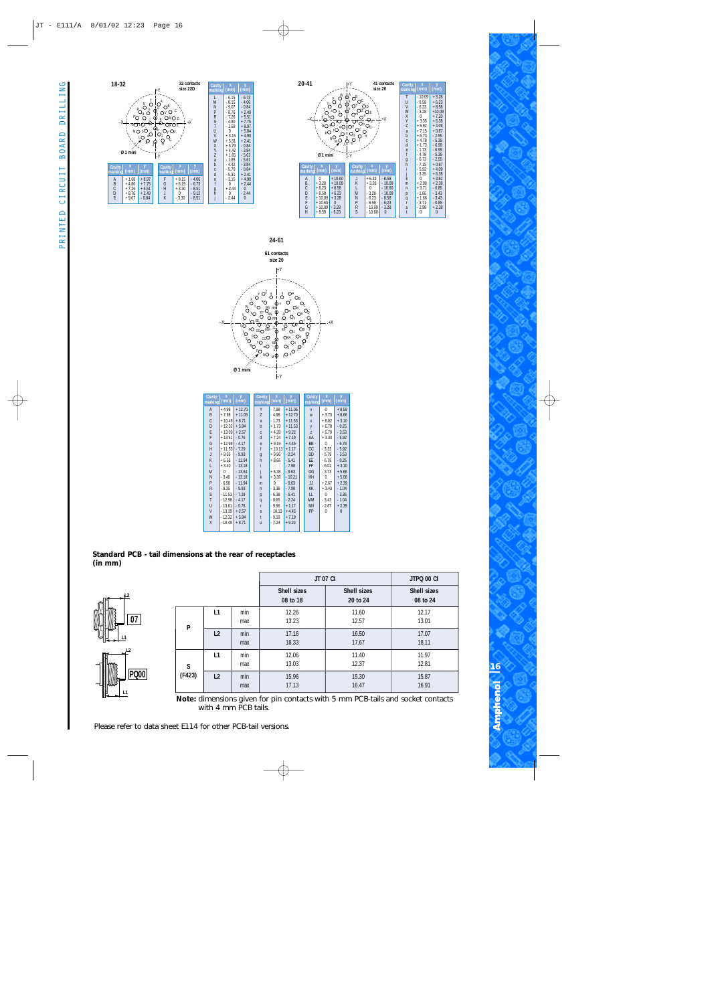







| Cavity<br>marking | $\overline{\mathbf{x}}$<br>(mm) | (mm)     | Cavity<br>marking | $\overline{\mathbf{x}}$<br>(mm) | (mm)     | Cavity<br>marking | $\overline{\mathbf{x}}$<br>(mm) | (mm)     |
|-------------------|---------------------------------|----------|-------------------|---------------------------------|----------|-------------------|---------------------------------|----------|
| $\mathsf{A}$      | $+4.98$                         | $+12.70$ | Y                 | $-7.98$                         | $+11.05$ | $\mathbf{V}$      | $\theta$                        | $+8.59$  |
| B                 | $+7.98$                         | $+11.05$ | Z                 | $-4.98$                         | $+12.70$ | W                 | $+3.73$                         | $+8.66$  |
| C                 | $+10.49$                        | $+8.71$  | a                 | $-1.73$                         | $+11.53$ | X                 | $+6.02$                         | $+3.10$  |
| D                 | $+12.32$                        | $+5.84$  | b                 | $+1.73$                         | $+11.53$ | y                 | $+6.78$                         | $-0.25$  |
| E                 | $+13.39$                        | $+2.57$  | C                 | $+4.39$                         | $+9.22$  | Z                 | $+5.79$                         | $-3.53$  |
| F                 | $+13.61$                        | $-0.76$  | d                 | $+7.24$                         | $+7.19$  | AA                | $+3.33$                         | $-5.92$  |
| G                 | $+12.98$                        | $-4.17$  | e                 | $+9.19$                         | $+4.45$  | <b>BB</b>         | 0                               | $-6.78$  |
| H                 | $+11.53$                        | $-7.29$  | f                 | $+10.13$                        | $+1.17$  | CC                | $-3.33$                         | $-5.92$  |
| J                 | $+9.35$                         | $-9.93$  | $\overline{g}$    | $+9.96$                         | $-2.24$  | DD                | $-5.79$                         | $-3.53$  |
| K                 | $+6.58$                         | $-11.94$ | h                 | $+8.66$                         | $-5.41$  | EE                | $-6.78$                         | $-0.25$  |
| L                 | $+3.40$                         | $-13.18$ |                   |                                 | $-7.98$  | FF                | $-6.02$                         | $+3.10$  |
| M                 | 0                               | $-13.64$ |                   | $+6.38$                         | $-9.63$  | GG                | $-3.73$                         | $+5.66$  |
| N                 | $-3.40$                         | $-13.18$ | $\mathsf{k}$      | $+3.38$                         | $-10.21$ | <b>HH</b>         | $\theta$                        | $+5.08$  |
| P                 | $-6.58$                         | $-11.94$ | m                 | $\Omega$                        | $-9.63$  | JJ                | $+2.67$                         | $+2.39$  |
| R                 | $-9.35$                         | $-9.93$  | $\mathsf{n}$      | $-3.38$                         | $-7.98$  | <b>KK</b>         | $+3.43$                         | $-1.04$  |
| S                 | $-11.53$                        | $-7.29$  | p                 | $-6.38$                         | $-5.41$  | LL                | 0                               | $-3.35$  |
| T                 | $-12.98$                        | $-4.17$  | q                 | $-8.65$                         | $-2.24$  | <b>MM</b>         | $-3.43$                         | $-1.04$  |
| U                 | $-13.61$                        | $-0.76$  | r                 | $-9.96$                         | $+1.17$  | <b>NN</b>         | $-2.67$                         | $+2.39$  |
| V                 | $-13.39$                        | $+2.57$  | S                 | $-10.13$                        | $+4.45$  | PP                | 0                               | $\Omega$ |
| W                 | $-12.32$                        | $+5.84$  | $\ddagger$        | $-9.19$                         | $+7.19$  |                   |                                 |          |
| X                 | $-10.49$                        | $+8.71$  | ū                 | $-7.24$                         | $+9.22$  |                   |                                 |          |
|                   |                                 |          |                   |                                 |          |                   |                                 |          |

#### **Standard PCB - tail dimensions at the rear of receptacles (in mm)**



|        |    |            | <b>JT 07 CI</b>         |                         | JTPQ 00 CI              |
|--------|----|------------|-------------------------|-------------------------|-------------------------|
|        |    |            | Shell sizes<br>08 to 18 | Shell sizes<br>20 to 24 | Shell sizes<br>08 to 24 |
| P      | L1 | min<br>max | 12.26<br>13.23          | 11.60<br>12.57          | 12.17<br>13.01          |
|        | L2 | min<br>max | 17.16<br>18.33          | 16.50<br>17.67          | 17.07<br>18.11          |
| S      | L1 | min<br>max | 12.06<br>13.03          | 11.40<br>12.37          | 11.97<br>12.81          |
| (F423) | L2 | min<br>max | 15.96<br>17.13          | 15.30<br>16.47          | 15.87<br>16.91          |

**Note:** dimensions given for pin contacts with 5 mm PCB-tails and socket contacts with 4 mm PCB tails.

Please refer to data sheet E114 for other PCB-tail versions.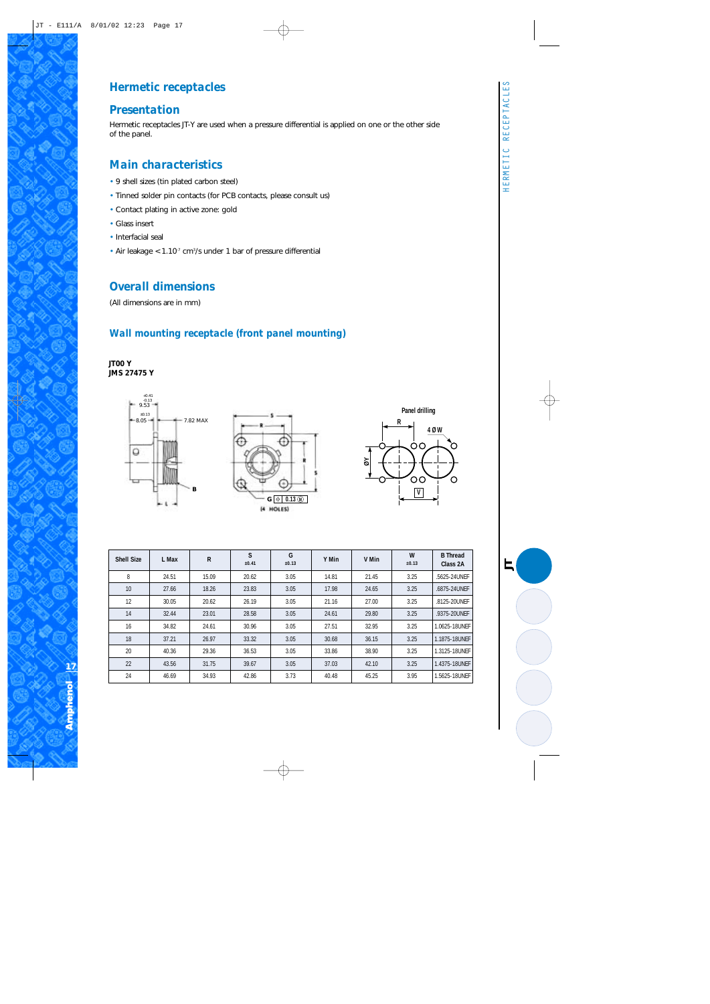*JT*

#### *Hermetic receptacles*

#### *Presentation*

Hermetic receptacles JT-Y are used when a pressure differential is applied on one or the other side of the panel.

#### *Main characteristics*

- 9 shell sizes (tin plated carbon steel)
- Tinned solder pin contacts (for PCB contacts, please consult us)
- Contact plating in active zone: gold
- Glass insert
- Interfacial seal
- Air leakage  $< 1.10<sup>7</sup>$  cm<sup>3</sup>/s under 1 bar of pressure differential

#### *Overall dimensions*

(All dimensions are in mm)

#### *Wall mounting receptacle (front panel mounting)*

**JT00 Y JMS 27475 Y**



| <b>Shell Size</b> | L Max | $\mathsf{R}$ | S<br>±0.41 | G<br>±0.13 | Y Min | V Min | W<br>±0.13 | <b>B</b> Thread<br>Class 2A |
|-------------------|-------|--------------|------------|------------|-------|-------|------------|-----------------------------|
| 8                 | 24.51 | 15.09        | 20.62      | 3.05       | 14.81 | 21.45 | 3.25       | .5625-24UNEF                |
| 10                | 27.66 | 18.26        | 23.83      | 3.05       | 17.98 | 24.65 | 3.25       | .6875-24UNFF                |
| 12                | 30.05 | 20.62        | 26.19      | 3.05       | 21.16 | 27.00 | 3.25       | .8125-20UNEF                |
| 14                | 32.44 | 23.01        | 28.58      | 3.05       | 24.61 | 29.80 | 3.25       | .9375-20UNEF                |
| 16                | 34.82 | 24.61        | 30.96      | 3.05       | 27.51 | 32.95 | 3.25       | 1.0625-18UNFF               |
| 18                | 37.21 | 26.97        | 33.32      | 3.05       | 30.68 | 36.15 | 3.25       | 1.1875-18UNFF               |
| 20                | 40.36 | 29.36        | 36.53      | 3.05       | 33.86 | 38.90 | 3.25       | 1.3125-18UNFF               |
| 22                | 43.56 | 31.75        | 39.67      | 3.05       | 37.03 | 42.10 | 3.25       | 1.4375-18UNEF               |
| 24                | 46.69 | 34.93        | 42.86      | 3.73       | 40.48 | 45.25 | 3.95       | 1.5625-18UNEF               |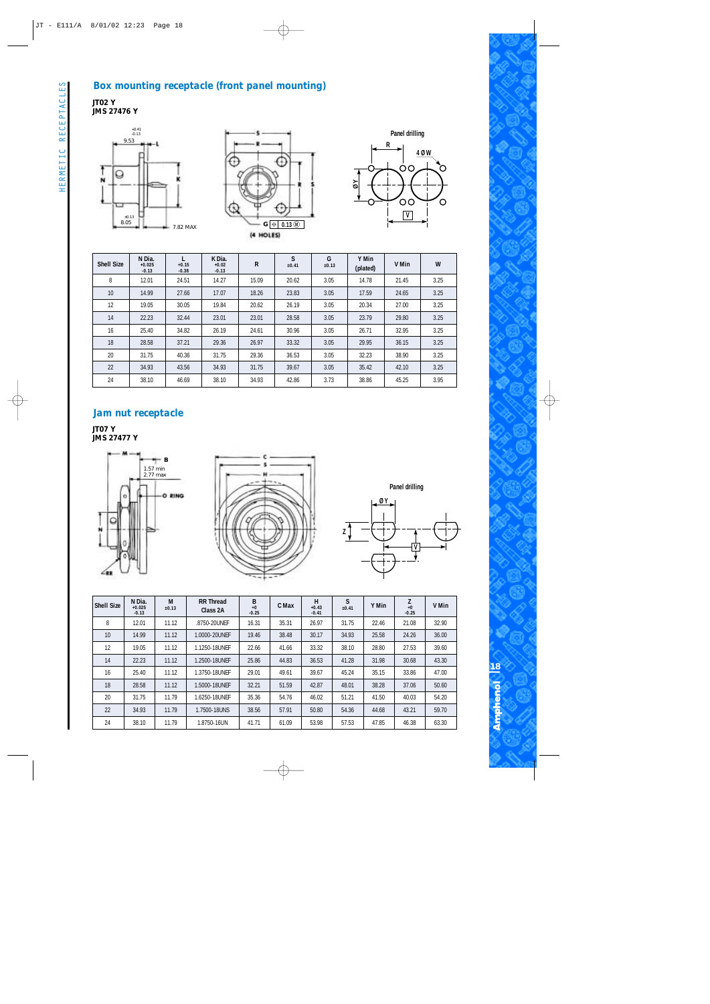#### *Box mounting receptacle (front panel mounting)*











| <b>Shell Size</b> | N Dia.<br>$+0.025$<br>$-0.13$ | $+0.15$<br>$-0.38$ | K Dia.<br>$+0.02$<br>$-0.13$ | R     | S<br>±0.41 | G<br>±0.13 | Y Min<br>(plated) | V Min | W    |
|-------------------|-------------------------------|--------------------|------------------------------|-------|------------|------------|-------------------|-------|------|
| 8                 | 12.01                         | 24.51              | 14.27                        | 15.09 | 20.62      | 3.05       | 14.78             | 21.45 | 3.25 |
| 10                | 14.99                         | 27.66              | 17.07                        | 18.26 | 23.83      | 3.05       | 17.59             | 24.65 | 3.25 |
| 12                | 19.05                         | 30.05              | 19.84                        | 20.62 | 26.19      | 3.05       | 20.34             | 27.00 | 3.25 |
| 14                | 22.23                         | 32.44              | 23.01                        | 23.01 | 28.58      | 3.05       | 23.79             | 29.80 | 3.25 |
| 16                | 25.40                         | 34.82              | 26.19                        | 24.61 | 30.96      | 3.05       | 26.71             | 32.95 | 3.25 |
| 18                | 28.58                         | 37.21              | 29.36                        | 26.97 | 33.32      | 3.05       | 29.95             | 36.15 | 3.25 |
| 20                | 31.75                         | 40.36              | 31.75                        | 29.36 | 36.53      | 3.05       | 32.23             | 38.90 | 3.25 |
| 22                | 34.93                         | 43.56              | 34.93                        | 31.75 | 39.67      | 3.05       | 35.42             | 42.10 | 3.25 |
| 24                | 38.10                         | 46.69              | 38.10                        | 34.93 | 42.86      | 3.73       | 38.86             | 45.25 | 3.95 |

#### *Jam nut receptacle*

**JT07 Y JMS 27477 Y**





**Panel drilling Ø Y Z V**

| <b>Shell Size</b> | N Dia.<br>$+0.025$<br>$-0.13$ | M<br>±0.13 | <b>RR Thread</b><br>Class 2A | $\mathop{\mathsf{B}}_{+0}$<br>$-0.25$ | C Max | н<br>$+0.43$<br>$-0.41$ | S<br>±0.41 | Y Min | Z<br>$+0$<br>$-0.25$ | V Min |
|-------------------|-------------------------------|------------|------------------------------|---------------------------------------|-------|-------------------------|------------|-------|----------------------|-------|
| 8                 | 12.01                         | 11.12      | .8750-20UNEF                 | 16.31                                 | 35.31 | 26.97                   | 31.75      | 22.46 | 21.08                | 32.90 |
| 10                | 14.99                         | 11.12      | 1.0000-20UNFF                | 19.46                                 | 38.48 | 30.17                   | 34.93      | 25.58 | 24.26                | 36.00 |
| 12                | 19.05                         | 11.12      | 1.1250-18UNFF                | 22.66                                 | 41.66 | 33.32                   | 38.10      | 28.80 | 27.53                | 39.60 |
| 14                | 22.23                         | 11.12      | 1.2500-18UNFF                | 25.86                                 | 44.83 | 36.53                   | 41.28      | 31.98 | 30.68                | 43.30 |
| 16                | 25.40                         | 11.12      | 1.3750-18UNFF                | 29.01                                 | 49.61 | 39.67                   | 45.24      | 35.15 | 33.86                | 47.00 |
| 18                | 28.58                         | 11.12      | 1.5000-18UNFF                | 32.21                                 | 51.59 | 42.87                   | 48.01      | 38.28 | 37.06                | 50.60 |
| 20                | 31.75                         | 11.79      | 1.6250-18UNFF                | 35.36                                 | 54.76 | 46.02                   | 51.21      | 41.50 | 40.03                | 54.20 |
| 22                | 34.93                         | 11.79      | 1.7500-18UNS                 | 38.56                                 | 57.91 | 50.80                   | 54.36      | 44.68 | 43.21                | 59.70 |
| 24                | 38.10                         | 11.79      | 1.8750-16UN                  | 41.71                                 | 61.09 | 53.98                   | 57.53      | 47.85 | 46.38                | 63.30 |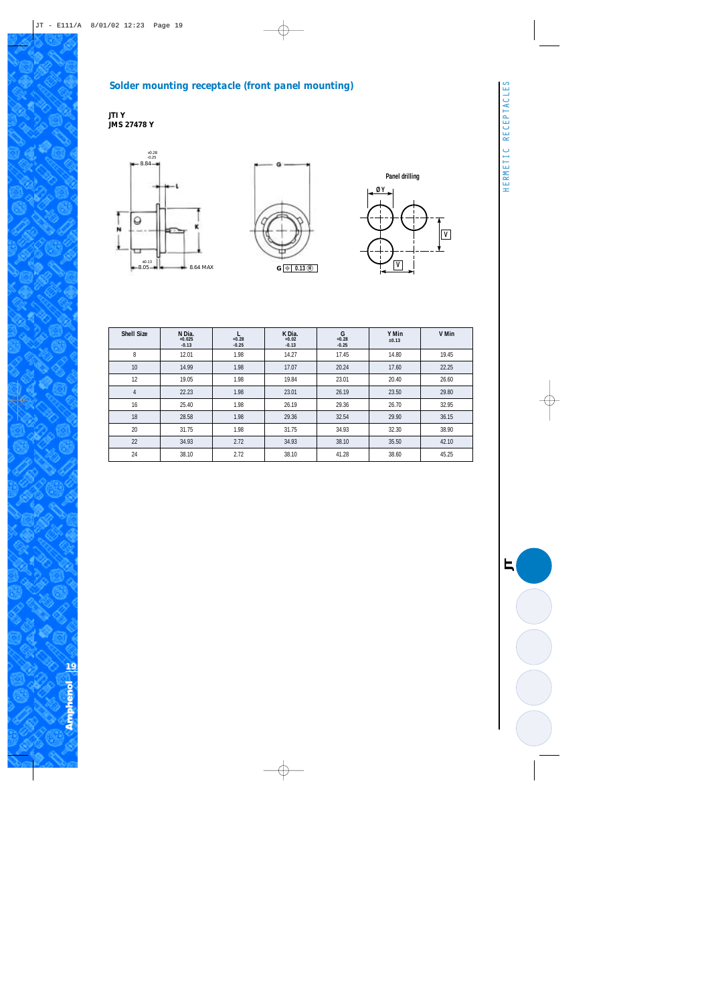#### *Solder mounting receptacle (front panel mounting)*

**JTI Y JMS 27478 Y**







| <b>Shell Size</b> | N Dia.<br>$+0.025$<br>$-0.13$ | $+0.28$<br>$-0.25$ | K Dia.<br>$+0.02$<br>$-0.13$ | G<br>$+0.28$<br>$-0.25$ | Y Min<br>±0.13 | V Min |
|-------------------|-------------------------------|--------------------|------------------------------|-------------------------|----------------|-------|
| 8                 | 12.01                         | 1.98               | 14.27                        | 17.45                   | 14.80          | 19.45 |
| 10                | 14.99                         | 1.98               | 17.07                        | 20.24                   | 17.60          | 22.25 |
| 12                | 19.05                         | 1.98               | 19.84                        | 23.01                   | 20.40          | 26.60 |
| $\overline{4}$    | 22.23                         | 1.98               | 23.01                        | 26.19                   | 23.50          | 29.80 |
| 16                | 25.40                         | 1.98               | 26.19                        | 29.36                   | 26.70          | 32.95 |
| 18                | 28.58                         | 1.98               | 29.36                        | 32.54                   | 29.90          | 36.15 |
| 20                | 31.75                         | 1.98               | 31.75                        | 34.93                   | 32.30          | 38.90 |
| 22                | 34.93                         | 2.72               | 34.93                        | 38.10                   | 35.50          | 42.10 |
| 24                | 38.10                         | 2.72               | 38.10                        | 41.28                   | 38.60          | 45.25 |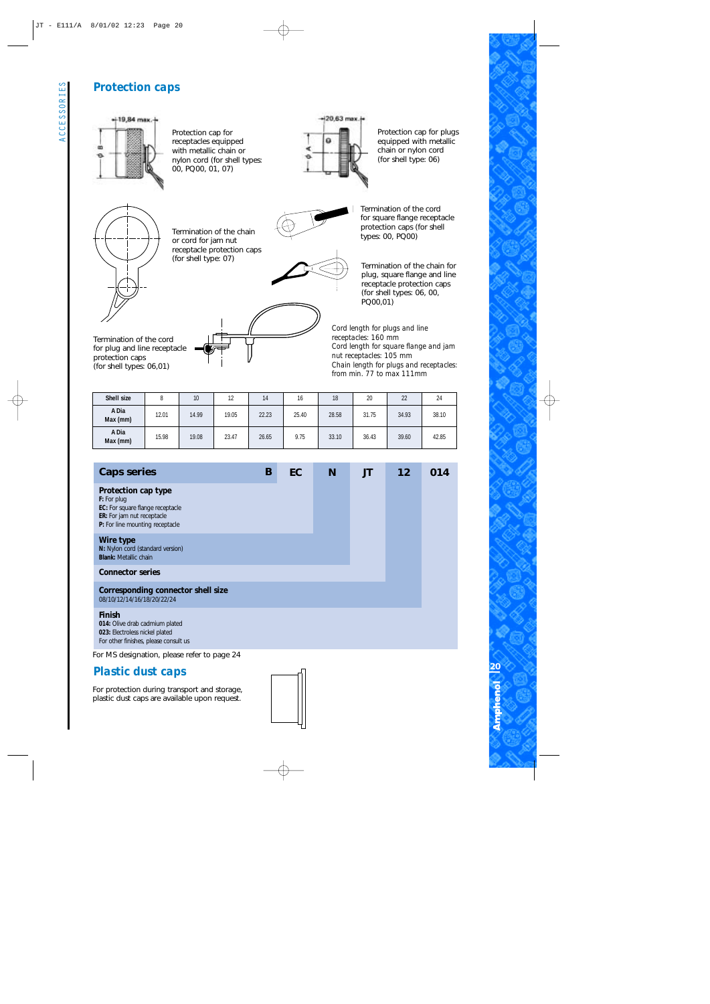#### *Protection caps*



| Shell size        |       | 10    | 12    | 14    | 16    | 18    | 20    | 22    | 24    |
|-------------------|-------|-------|-------|-------|-------|-------|-------|-------|-------|
| A Dia<br>Max (mm) | 12.01 | 14.99 | 19.05 | 22.23 | 25.40 | 28.58 | 31.75 | 34.93 | 38.10 |
| A Dia<br>Max (mm) | 15.98 | 19.08 | 23.47 | 26.65 | 9.75  | 33.10 | 36.43 | 39.60 | 42.85 |

| <b>Caps series</b>                                                                                                                      | B | EC | <b>N</b> | <b>JT</b> | 12 | 014 |
|-----------------------------------------------------------------------------------------------------------------------------------------|---|----|----------|-----------|----|-----|
| Protection cap type<br>F: For plug<br>EC: For square flange receptacle<br>ER: For jam nut receptacle<br>P: For line mounting receptacle |   |    |          |           |    |     |
| Wire type<br>N: Nylon cord (standard version)<br><b>Blank: Metallic chain</b>                                                           |   |    |          |           |    |     |
| <b>Connector series</b>                                                                                                                 |   |    |          |           |    |     |
| <b>Corresponding connector shell size</b><br>08/10/12/14/16/18/20/22/24                                                                 |   |    |          |           |    |     |
| <b>Finish</b><br>014: Olive drab cadmium plated<br>023: Electroless nickel plated<br>For other finishes, please consult us              |   |    |          |           |    |     |
| For MS designation, please refer to page 24                                                                                             |   |    |          |           |    |     |

#### **Plastic dust caps**

For protection during transport and storage, plastic dust caps are available upon request.

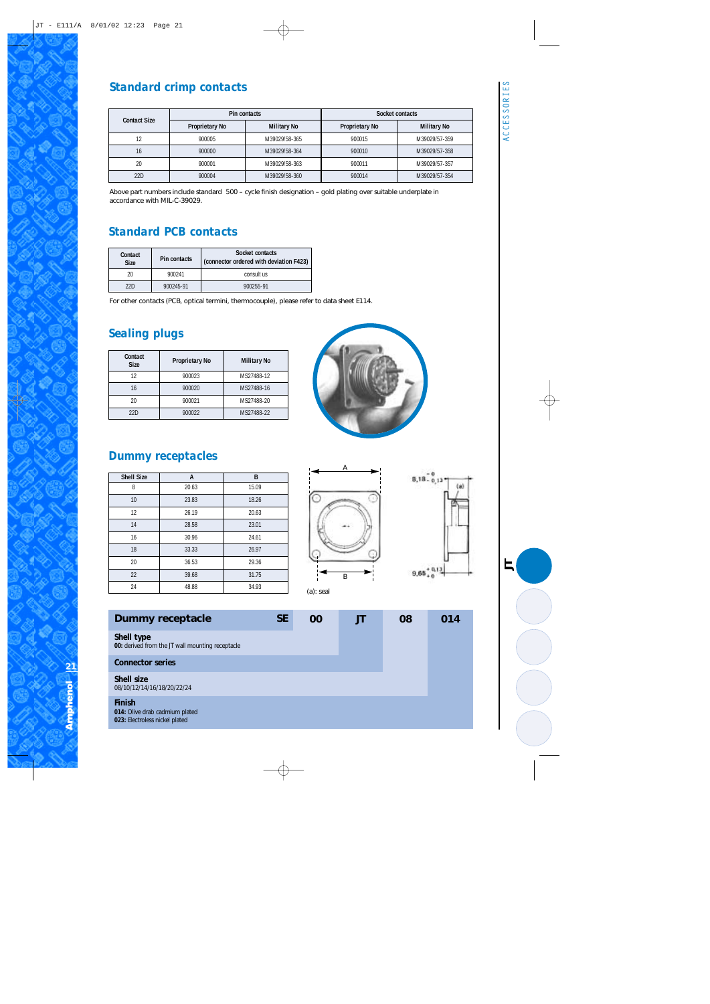### *Standard crimp contacts*

|                     |                | Pin contacts       | Socket contacts |                    |  |
|---------------------|----------------|--------------------|-----------------|--------------------|--|
| <b>Contact Size</b> | Proprietary No | <b>Military No</b> | Proprietary No  | <b>Military No</b> |  |
| 12                  | 900005         | M39029/58-365      | 900015          | M39029/57-359      |  |
| 16                  | 900000         | M39029/58-364      | 900010          | M39029/57-358      |  |
| 20                  | 900001         | M39029/58-363      | 900011          | M39029/57-357      |  |
| 22D                 | 900004         | M39029/58-360      | 900014          | M39029/57-354      |  |

Above part numbers include standard 500 – cycle finish designation – gold plating over suitable underplate in accordance with MIL-C-39029.

#### *Standard PCB contacts*

| Contact<br><b>Size</b> | <b>Pin contacts</b> | Socket contacts<br>(connector ordered with deviation F423) |
|------------------------|---------------------|------------------------------------------------------------|
| 20                     | 900241              | consult us                                                 |
| 22D                    | 900245-91           | 900255-91                                                  |

For other contacts (PCB, optical termini, thermocouple), please refer to data sheet E114.

#### *Sealing plugs*

| Contact<br><b>Size</b> | <b>Proprietary No</b> | <b>Military No</b> |
|------------------------|-----------------------|--------------------|
| 12                     | 900023                | MS27488-12         |
| 16                     | 900020                | MS27488-16         |
| 20                     | 900021                | MS27488-20         |
| 22D                    | 900022                | MS27488-22         |

#### *Dummy receptacles*

| <b>Shell Size</b> | A     | B     |
|-------------------|-------|-------|
| 8                 | 20.63 | 15.09 |
| 10                | 23.83 | 18.26 |
| 12                | 26.19 | 20.63 |
| 14                | 28.58 | 23.01 |
| 16                | 30.96 | 24.61 |
| 18                | 33.33 | 26.97 |
| 20                | 36.53 | 29.36 |
| 22                | 39.68 | 31.75 |
| 24                | 48.88 | 34.93 |





*JT*

#### **Finish Shell size**  08/10/12/14/16/18/20/22/24 **Connector series Shell type 00:** derived from the JT wall mounting receptacle **Dummy receptacle SE 00 JT 08 014**

**014:** Olive drab cadmium plated **023:** Electroless nickel plated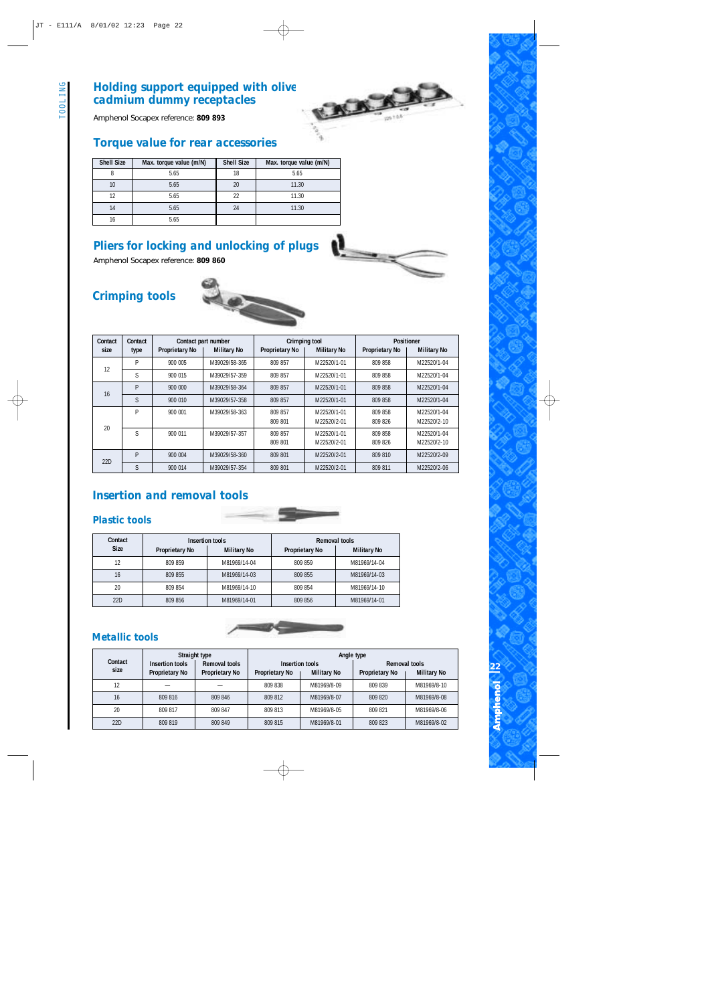## *Holding support equipped with olive drab cadmium dummy receptacles*

Amphenol Socapex reference: **809 893**

#### *Torque value for rear accessories*

| <b>Shell Size</b> | Max. torque value (m/N) | <b>Shell Size</b> | Max. torque value (m/N) |
|-------------------|-------------------------|-------------------|-------------------------|
|                   | 5.65                    | 18                | 5.65                    |
| 10                | 5.65                    | 20                | 11.30                   |
| 12                | 5.65                    | 22                | 11.30                   |
| 14                | 5.65                    | 24                | 11.30                   |
| 16                | 5.65                    |                   |                         |

#### *Pliers for locking and unlocking of plugs*

Amphenol Socapex reference: **809 860**

## *Crimping tools*



| Contact | Contact |                       | Contact part number | Crimping tool         |                            | <b>Positioner</b>     |                            |  |
|---------|---------|-----------------------|---------------------|-----------------------|----------------------------|-----------------------|----------------------------|--|
| size    | type    | <b>Proprietary No</b> | <b>Military No</b>  | <b>Proprietary No</b> | <b>Military No</b>         | <b>Proprietary No</b> | <b>Military No</b>         |  |
| 12      | P       | 900 005               | M39029/58-365       | 809 857               | M22520/1-01                | 809 858               | M22520/1-04                |  |
|         | S       | 900 015               | M39029/57-359       | 809 857               | M22520/1-01                | 809 858               | M22520/1-04                |  |
| 16      | P       | 900 000               | M39029/58-364       | 809 857               | M22520/1-01                | 809 858               | M22520/1-04                |  |
|         | S       | 900 010               | M39029/57-358       | 809 857               | M22520/1-01                | 809 858               | M22520/1-04                |  |
| 20      | P       | 900 001               | M39029/58-363       | 809 857<br>809 801    | M22520/1-01<br>M22520/2-01 | 809 858<br>809 826    | M22520/1-04<br>M22520/2-10 |  |
|         | S       | 900 011               | M39029/57-357       | 809 857<br>809 801    | M22520/1-01<br>M22520/2-01 | 809 858<br>809 826    | M22520/1-04<br>M22520/2-10 |  |
| 22D     | P       | 900 004               | M39029/58-360       | 809 801               | M22520/2-01                | 809 810               | M22520/2-09                |  |
|         | S       | 900 014               | M39029/57-354       | 809 801               | M22520/2-01                | 809 811               | M22520/2-06                |  |

 $\mathbf{r}$ 

#### *Insertion and removal tools*

#### *Plastic tools*





#### *Metallic tools*

|                 | Straight type                            |                                 | Angle type                               |                    |                                                              |             |  |  |
|-----------------|------------------------------------------|---------------------------------|------------------------------------------|--------------------|--------------------------------------------------------------|-------------|--|--|
| Contact<br>size | Insertion tools<br><b>Proprietary No</b> | Removal tools<br>Proprietary No | Insertion tools<br><b>Proprietary No</b> | <b>Military No</b> | Removal tools<br><b>Military No</b><br><b>Proprietary No</b> |             |  |  |
| 12              |                                          |                                 | 809 838                                  | M81969/8-09        | 809 839                                                      | M81969/8-10 |  |  |
| 16              | 809 816                                  | 809 846                         | 809 812                                  | M81969/8-07        | 809 820                                                      | M81969/8-08 |  |  |
| 20              | 809 817                                  | 809 847                         | 809 813                                  | M81969/8-05        | 809 821                                                      | M81969/8-06 |  |  |
| 22D             | 809 819                                  | 809 849                         | 809 815                                  | M81969/8-01        | 809 823                                                      | M81969/8-02 |  |  |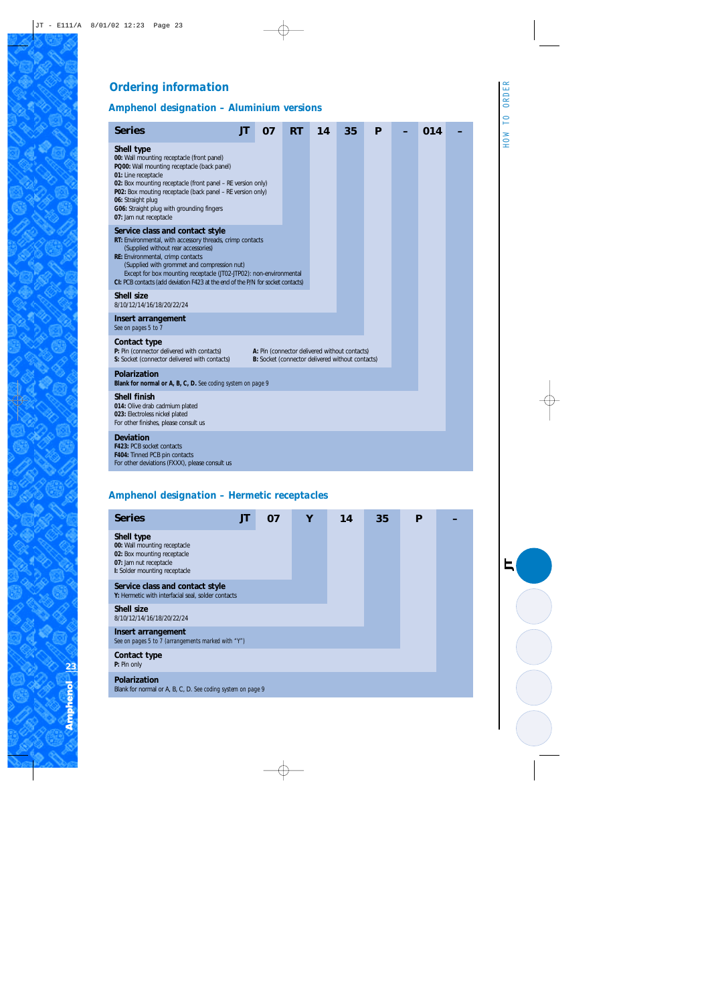### *Ordering information*

#### *Amphenol designation – Aluminium versions*

| <b>Series</b>                                                                                                                                                                                                                                                                                                                                                                    | л | 07 | <b>RT</b> | 14 | 35 | P |  | 014 |  |
|----------------------------------------------------------------------------------------------------------------------------------------------------------------------------------------------------------------------------------------------------------------------------------------------------------------------------------------------------------------------------------|---|----|-----------|----|----|---|--|-----|--|
| <b>Shell type</b><br>00: Wall mounting receptacle (front panel)<br>PQ00: Wall mounting receptacle (back panel)<br>01: Line receptacle<br>02: Box mounting receptacle (front panel - RE version only)<br>P02: Box mouting receptacle (back panel - RE version only)<br>06: Straight plug<br>G06: Straight plug with grounding fingers<br>07: Jam nut receptacle                   |   |    |           |    |    |   |  |     |  |
| Service class and contact style<br>RT: Environmental, with accessory threads, crimp contacts<br>(Supplied without rear accessories)<br>RE: Environmental, crimp contacts<br>(Supplied with grommet and compression nut)<br>Except for box mounting receptacle (JT02-JTP02): non-environmental<br>CI: PCB contacts (add deviation F423 at the end of the P/N for socket contacts) |   |    |           |    |    |   |  |     |  |
| <b>Shell size</b><br>8/10/12/14/16/18/20/22/24                                                                                                                                                                                                                                                                                                                                   |   |    |           |    |    |   |  |     |  |
| Insert arrangement<br>See on pages 5 to 7                                                                                                                                                                                                                                                                                                                                        |   |    |           |    |    |   |  |     |  |
| Contact type<br>P: Pin (connector delivered with contacts)<br>A: Pin (connector delivered without contacts)<br>S: Socket (connector delivered with contacts)<br>B: Socket (connector delivered without contacts)                                                                                                                                                                 |   |    |           |    |    |   |  |     |  |
| <b>Polarization</b><br>Blank for normal or A, B, C, D. See coding system on page 9                                                                                                                                                                                                                                                                                               |   |    |           |    |    |   |  |     |  |
| <b>Shell finish</b><br>014: Olive drab cadmium plated<br>023: Electroless nickel plated<br>For other finishes, please consult us                                                                                                                                                                                                                                                 |   |    |           |    |    |   |  |     |  |
| <b>Deviation</b><br><b>F423: PCB socket contacts</b><br>F404: Tinned PCB pin contacts<br>For other deviations (FXXX), please consult us                                                                                                                                                                                                                                          |   |    |           |    |    |   |  |     |  |
|                                                                                                                                                                                                                                                                                                                                                                                  |   |    |           |    |    |   |  |     |  |

#### *Amphenol designation – Hermetic receptacles*

| <b>Series</b>                                                                                                                        | JT | 07 | Υ | 14 | 35 | P |  |  |
|--------------------------------------------------------------------------------------------------------------------------------------|----|----|---|----|----|---|--|--|
| Shell type<br>00: Wall mounting receptacle<br>02: Box mounting receptacle<br>07: Jam nut receptacle<br>I: Solder mounting receptacle |    |    |   |    |    |   |  |  |
| Service class and contact style<br>Y: Hermetic with interfacial seal, solder contacts                                                |    |    |   |    |    |   |  |  |
| <b>Shell size</b><br>8/10/12/14/16/18/20/22/24                                                                                       |    |    |   |    |    |   |  |  |
| Insert arrangement<br>See on pages 5 to 7 (arrangements marked with "Y")                                                             |    |    |   |    |    |   |  |  |
| Contact type<br>P: Pin only                                                                                                          |    |    |   |    |    |   |  |  |
| <b>Polarization</b><br>Blank for normal or A, B, C, D. See coding system on page 9                                                   |    |    |   |    |    |   |  |  |